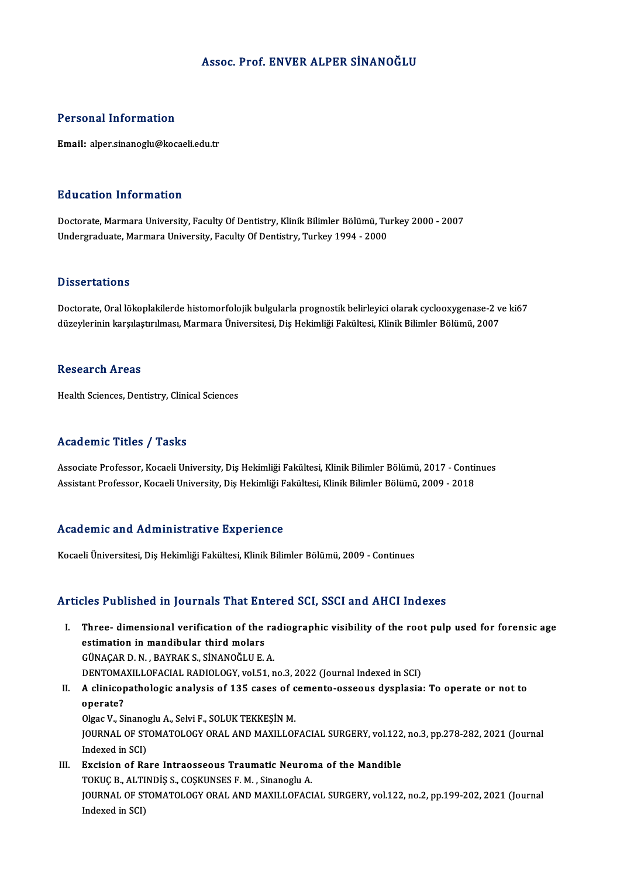### Assoc. Prof. ENVER ALPER SİNANOĞLU

### Personal Information

Email: alper.sinanoglu@kocaeli.edu.tr

### Education Information

Education Information<br>Doctorate, Marmara University, Faculty Of Dentistry, Klinik Bilimler Bölümü, Turkey 2000 - 2007<br>Undergraduate Marmara University, Faculty Of Dentistry, Turkey 1994, 2000 Luusutsir IIIIsrindersir<br>Doctorate, Marmara University, Faculty Of Dentistry, Klinik Bilimler Bölümü, Tu<br>Undergraduate, Marmara University, Faculty Of Dentistry, Turkey 1994 - 2000 Undergraduate, Marmara University, Faculty Of Dentistry, Turkey 1994 - 2000<br>Dissertations

Doctorate, Oral lökoplakilerde histomorfolojik bulgularla prognostik belirleyici olarak cyclooxygenase-2 ve ki67 düzeylerinin karşılaştırılması, Marmara Üniversitesi, Diş Hekimliği Fakültesi, Klinik Bilimler Bölümü, 2007

### **Research Areas**

Health Sciences, Dentistry, Clinical Sciences

### Academic Titles / Tasks

Associate Professor, Kocaeli University, Diş Hekimliği Fakültesi, Klinik Bilimler Bölümü, 2017 - Continues Assistant Professor, Kocaeli University, Diş Hekimliği Fakültesi, Klinik Bilimler Bölümü, 2009 - 2018

### Academic and Administrative Experience

Kocaeli Üniversitesi, Diş Hekimliği Fakültesi, Klinik Bilimler Bölümü, 2009 - Continues

### Articles Published in Journals That Entered SCI, SSCI and AHCI Indexes

rticles Published in Journals That Entered SCI, SSCI and AHCI Indexes<br>I. Three- dimensional verification of the radiographic visibility of the root pulp used for forensic age<br>extimation in mandibular third malars Three-dimensional verification of the<br>estimation in mandibular third molars<br>CUNACAR D N RAVRAKS SINANOČULE Three- dimensional verification of the ra<br>estimation in mandibular third molars<br>GÜNAÇAR D.N., BAYRAK S., SİNANOĞLU E.A.<br>DENTOMAXILLOFACIAL BADIQLOCX velE1 r estimation in mandibular third molars<br>GÜNAÇAR D. N. , BAYRAK S., SİNANOĞLU E. A.<br>DENTOMAXILLOFACIAL RADIOLOGY, vol.51, no.3, 2022 (Journal Indexed in SCI)<br>A elinisanathalagis analysis of 125 sasss of semanta assaays dyspla GÜNAÇAR D. N. , BAYRAK S., SİNANOĞLU E. A.<br>DENTOMAXILLOFACIAL RADIOLOGY, vol.51, no.3, 2022 (Journal Indexed in SCI)<br>II. A clinicopathologic analysis of 135 cases of cemento-osseous dysplasia: To operate or not to<br>oper

## DENTOMA<br>A clinico<sub>l</sub><br>operate?<br>Olsoc V. Si A clinicopathologic analysis of 135 cases of c<br>operate?<br>Olgac V., Sinanoglu A., Selvi F., SOLUK TEKKEŞİN M.<br>JOUPNAL OE STOMATOLOCY ORAL AND MAYILLOL JOURNAL OF STOMATOLOGY ORAL AND MAXILLOFACIAL SURGERY, vol.122, no.3, pp.278-282, 2021 (Journal Indexed in SCI) Olgac V., Sinano<br>JOURNAL OF ST<br>Indexed in SCI)<br>Excision of Bo I I. JOURNAL OF STOMATOLOGY ORAL AND MAXILLOFACIAL SURGERY, vol.122<br>Indexed in SCI)<br>III. Excision of Rare Intraosseous Traumatic Neuroma of the Mandible<br>TOVIC B. ALTINDIS S. COSVINSES E.M. Sinapose A.A.

Indexed in SCI)<br><mark>Excision of Rare Intraosseous Traumatic Neuron</mark><br>TOKUÇ B., ALTINDİŞ S., COŞKUNSES F. M. , Sinanoglu A.<br>JOUPNAL OF STOMATOLOCY OPAL AND MAYU LOFACI JOURNAL OF STOMATOLOGY ORAL AND MAXILLOFACIAL SURGERY, vol.122, no.2, pp.199-202, 2021 (Journal Indexed in SCI) TOKUÇ B., ALTINDİŞ S., COŞKUNSES F. M., Sinanoglu A.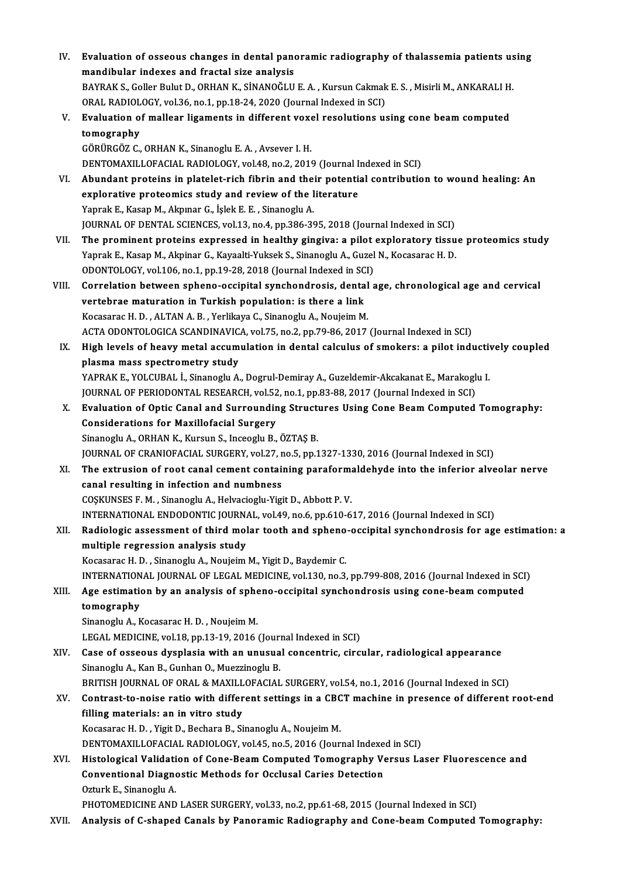| IV.   | Evaluation of osseous changes in dental panoramic radiography of thalassemia patients using         |
|-------|-----------------------------------------------------------------------------------------------------|
|       | mandibular indexes and fractal size analysis                                                        |
|       | BAYRAK S., Goller Bulut D., ORHAN K., SİNANOĞLU E. A., Kursun Cakmak E. S., Misirli M., ANKARALI H. |
|       | ORAL RADIOLOGY, vol.36, no.1, pp.18-24, 2020 (Journal Indexed in SCI)                               |
| V.    | Evaluation of mallear ligaments in different voxel resolutions using cone beam computed             |
|       | tomography                                                                                          |
|       | GÖRÜRGÖZ C., ORHAN K., Sinanoglu E. A., Avsever I. H.                                               |
|       | DENTOMAXILLOFACIAL RADIOLOGY, vol.48, no.2, 2019 (Journal Indexed in SCI)                           |
| VI.   | Abundant proteins in platelet-rich fibrin and their potential contribution to wound healing: An     |
|       | explorative proteomics study and review of the literature                                           |
|       | Yaprak E., Kasap M., Akpınar G., İşlek E. E., Sinanoglu A.                                          |
|       | JOURNAL OF DENTAL SCIENCES, vol.13, no.4, pp.386-395, 2018 (Journal Indexed in SCI)                 |
| VII.  | The prominent proteins expressed in healthy gingiva: a pilot exploratory tissue proteomics study    |
|       | Yaprak E., Kasap M., Akpinar G., Kayaalti-Yuksek S., Sinanoglu A., Guzel N., Kocasarac H. D.        |
|       | ODONTOLOGY, vol.106, no.1, pp.19-28, 2018 (Journal Indexed in SCI)                                  |
| VIII. | Correlation between spheno-occipital synchondrosis, dental age, chronological age and cervical      |
|       | vertebrae maturation in Turkish population: is there a link                                         |
|       | Kocasarac H. D., ALTAN A. B., Yerlikaya C., Sinanoglu A., Noujeim M.                                |
|       | ACTA ODONTOLOGICA SCANDINAVICA, vol.75, no.2, pp.79-86, 2017 (Journal Indexed in SCI)               |
| IX.   | High levels of heavy metal accumulation in dental calculus of smokers: a pilot inductively coupled  |
|       | plasma mass spectrometry study                                                                      |
|       | YAPRAK E., YOLCUBAL İ., Sinanoglu A., Dogrul-Demiray A., Guzeldemir-Akcakanat E., Marakoglu I.      |
|       | JOURNAL OF PERIODONTAL RESEARCH, vol.52, no.1, pp.83-88, 2017 (Journal Indexed in SCI)              |
| X.    | Evaluation of Optic Canal and Surrounding Structures Using Cone Beam Computed Tomography:           |
|       | <b>Considerations for Maxillofacial Surgery</b>                                                     |
|       | Sinanoglu A., ORHAN K., Kursun S., Inceoglu B., ÖZTAŞ B.                                            |
|       | JOURNAL OF CRANIOFACIAL SURGERY, vol.27, no.5, pp.1327-1330, 2016 (Journal Indexed in SCI)          |
| XI.   | The extrusion of root canal cement containing paraformaldehyde into the inferior alveolar nerve     |
|       | canal resulting in infection and numbness                                                           |
|       | COSKUNSES F. M., Sinanoglu A., Helvacioglu-Yigit D., Abbott P. V.                                   |
|       | INTERNATIONAL ENDODONTIC JOURNAL, vol.49, no.6, pp.610-617, 2016 (Journal Indexed in SCI)           |
| XII.  | Radiologic assessment of third molar tooth and spheno-occipital synchondrosis for age estimation: a |
|       | multiple regression analysis study                                                                  |
|       | Kocasarac H. D., Sinanoglu A., Noujeim M., Yigit D., Baydemir C.                                    |
|       | INTERNATIONAL JOURNAL OF LEGAL MEDICINE, vol.130, no.3, pp.799-808, 2016 (Journal Indexed in SCI)   |
| XIII. | Age estimation by an analysis of spheno-occipital synchondrosis using cone-beam computed            |
|       | tomography                                                                                          |
|       | Sinanoglu A., Kocasarac H. D., Noujeim M.                                                           |
|       | LEGAL MEDICINE, vol.18, pp.13-19, 2016 (Journal Indexed in SCI)                                     |
| XIV.  | Case of osseous dysplasia with an unusual concentric, circular, radiological appearance             |
|       | Sinanoglu A., Kan B., Gunhan O., Muezzinoglu B.                                                     |
|       | BRITISH JOURNAL OF ORAL & MAXILLOFACIAL SURGERY, vol.54, no.1, 2016 (Journal Indexed in SCI)        |
| XV.   | Contrast-to-noise ratio with different settings in a CBCT machine in presence of different root-end |
|       | filling materials: an in vitro study                                                                |
|       | Kocasarac H. D., Yigit D., Bechara B., Sinanoglu A., Noujeim M.                                     |
|       | DENTOMAXILLOFACIAL RADIOLOGY, vol.45, no.5, 2016 (Journal Indexed in SCI)                           |
| XVI.  | Histological Validation of Cone-Beam Computed Tomography Versus Laser Fluorescence and              |
|       | <b>Conventional Diagnostic Methods for Occlusal Caries Detection</b>                                |
|       | Ozturk E., Sinanoglu A.                                                                             |
|       | PHOTOMEDICINE AND LASER SURGERY, vol.33, no.2, pp.61-68, 2015 (Journal Indexed in SCI)              |
| XVII. | Analysis of C-shaped Canals by Panoramic Radiography and Cone-beam Computed Tomography:             |
|       |                                                                                                     |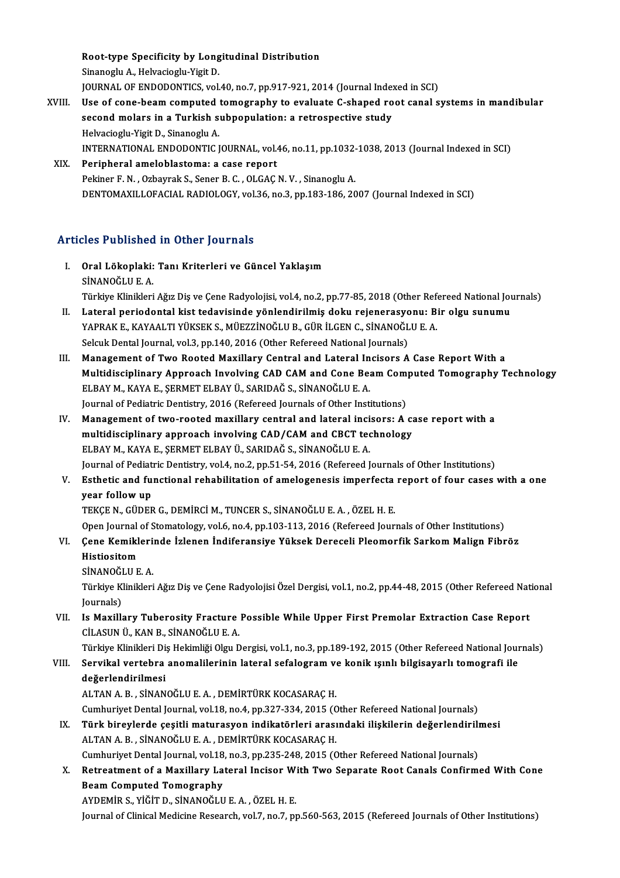Root-type Specificity by Longitudinal Distribution Root-type Specificity by Long<br>Sinanoglu A., Helvacioglu-Yigit D.<br>JOUPMAL OF ENDODONTICS vol. Root-type Specificity by Longitudinal Distribution<br>Sinanoglu A., Helvacioglu-Yigit D.<br>JOURNAL OF ENDODONTICS, vol.40, no.7, pp.917-921, 2014 (Journal Indexed in SCI)<br>Hae of sone beem semputed temesyanhy to evoluate C shane Sinanoglu A., Helvacioglu-Yigit D.<br>JOURNAL OF ENDODONTICS, vol.40, no.7, pp.917-921, 2014 (Journal Indexed in SCI)<br>XVIII. Use of cone-beam computed tomography to evaluate C-shaped root canal systems in mandibular<br>cocond me JOURNAL OF ENDODONTICS, vol.40, no.7, pp.917-921, 2014 (Journal Inder Use of cone-beam computed tomography to evaluate C-shaped ro<br>second molars in a Turkish subpopulation: a retrospective study<br>Helvegiogly Vigit D. Sinapo Use of cone-beam computed<br>second molars in a Turkish s<br>Helvacioglu-Yigit D., Sinanoglu A.<br>INTERNATIONAL ENDODONTIC I

second molars in a Turkish subpopulation: a retrospective study<br>Helvacioglu-Yigit D., Sinanoglu A.<br>INTERNATIONAL ENDODONTIC JOURNAL, vol.46, no.11, pp.1032-1038, 2013 (Journal Indexed in SCI)<br>Peripheral ameloblastemay a se Helvacioglu-Yigit D., Sinanoglu A.<br>INTERNATIONAL ENDODONTIC JOURNAL, vol.46, no.11, pp.1032-<br>XIX. Peripheral ameloblastoma: a case report<br>Pekiner F. N. . Ozbavrak S., Sener B. C. . OLGAC N. V. . Sinanoglu A. INTERNATIONAL ENDODONTIC JOURNAL, vol.46, no.11, pp.1032-<br>Peripheral ameloblastoma: a case report<br>Pekiner F. N. , Ozbayrak S., Sener B. C. , OLGAÇ N. V. , Sinanoglu A.<br>DENTOMAYU LOEACIAL PADIOLOCY, vol.26, no.2, np.193, 19

DENTOMAXILLOFACIAL RADIOLOGY, vol.36, no.3, pp.183-186, 2007 (Journal Indexed in SCI)

## Articles Published in Other Journals

rticles Published in Other Journals<br>I. Oral Lökoplaki: Tanı Kriterleri ve Güncel Yaklaşım<br>SİNANOČLUE A SINANOĞ<br>Oral Lökoplaki:<br>SİNANOĞLU E. A.<br>Türkiye Klinikleri SİNANOĞLU E. A.<br>Türkiye Klinikleri Ağız Diş ve Çene Radyolojisi, vol.4, no.2, pp.77-85, 2018 (Other Refereed National Journals) SİNANOĞLU E. A.<br>Türkiye Klinikleri Ağız Diş ve Çene Radyolojisi, vol.4, no.2, pp.77-85, 2018 (Other Refereed National Journal<br>II. Lateral periodontal kist tedavisinde yönlendirilmiş doku rejenerasyonu: Bir olgu sunumu<br>VARR

- Türkiye Klinikleri Ağız Diş ve Çene Radyolojisi, vol.4, no.2, pp.77-85, 2018 (Other Ref<br>Lateral periodontal kist tedavisinde yönlendirilmiş doku rejenerasyonu: Bi<br>YAPRAK E., KAYAALTI YÜKSEK S., MÜEZZİNOĞLU B., GÜR İLGEN C. Lateral periodontal kist tedavisinde yönlendirilmiş doku rejenerasyo<br>YAPRAK E., KAYAALTI YÜKSEK S., MÜEZZİNOĞLU B., GÜR İLGEN C., SİNANOĞL<br>Selcuk Dental Journal, vol.3, pp.140, 2016 (Other Refereed National Journals)<br>Manaz YAPRAK E., KAYAALTI YÜKSEK S., MÜEZZİNOĞLU B., GÜR İLGEN C., SİNANOĞLU E. A.<br>Selcuk Dental Journal, vol.3, pp.140, 2016 (Other Refereed National Journals)<br>III. Management of Two Rooted Maxillary Central and Lateral Inc
- Selcuk Dental Journal, vol.3, pp.140, 2016 (Other Refereed National Journals)<br>Management of Two Rooted Maxillary Central and Lateral Incisors A Case Report With a<br>Multidisciplinary Approach Involving CAD CAM and Cone Beam ELBAY M., KAYA E., ŞERMET ELBAY Ü., SARIDAĞ S., SİNANOĞLU E. A.<br>Journal of Pediatric Dentistry, 2016 (Refereed Journals of Other Institutions) Multidisciplinary Approach Involving CAD CAM and Cone Beam Com<br>ELBAY M., KAYA E., ŞERMET ELBAY Ü., SARIDAĞ S., SİNANOĞLU E. A.<br>Journal of Pediatric Dentistry, 2016 (Refereed Journals of Other Institutions)<br>Managamant of tu
- IV. Management of two-rooted maxillary central and lateral incisors: A case report with a Journal of Pediatric Dentistry, 2016 (Refereed Journals of Other Institutions)<br>Management of two-rooted maxillary central and lateral incisors: A cannolity<br>multidisciplinary approach involving CAD/CAM and CBCT technology<br>F Management of two-rooted maxillary central and lateral inci<br>multidisciplinary approach involving CAD/CAM and CBCT tec<br>ELBAY M., KAYA E., ŞERMET ELBAY Ü., SARIDAĞ S., SİNANOĞLU E. A.<br>Journal of Podiatria Dontistry val 4, no ELBAY M., KAYA E., ŞERMET ELBAY Ü., SARIDAĞ S., SİNANOĞLU E. A.<br>Journal of Pediatric Dentistry, vol.4, no.2, pp.51-54, 2016 (Refereed Journals of Other Institutions)
- V. Esthetic and functional rehabilitation of amelogenesis imperfecta report of four cases with a one year follow up

TEKÇEN.,GÜDERG.,DEMİRCİM.,TUNCERS.,SİNANOĞLUE.A. ,ÖZELH.E. Open Journal of Stomatology, vol.6, no.4, pp.103-113, 2016 (Refereed Journals of Other Institutions)

# TEKÇE N., GÜDER G., DEMİRCİ M., TUNCER S., SİNANOĞLU E. A. , ÖZEL H. E.<br>Open Journal of Stomatology, vol.6, no.4, pp.103-113, 2016 (Refereed Journals of Other Institutions)<br>VI. Cene Kemiklerinde İzlenen İndiferansiye Yükse Open Journal<br><mark>Çene Kemikl</mark><br>Histiositom<br>SiNANOČLU E Çene Kemikleri<br>Histiositom<br>SİNANOĞLU E. A.<br>Türkiye Klinikleri

Histiositom<br>SİNANOĞLU E. A.<br>Türkiye Klinikleri Ağız Diş ve Çene Radyolojisi Özel Dergisi, vol.1, no.2, pp.44-48, 2015 (Other Refereed National SİNANOĞI<br>Türkiye K<br>Journals)<br>Je Maxill Türkiye Klinikleri Ağız Diş ve Çene Radyolojisi Özel Dergisi, vol.1, no.2, pp.44-48, 2015 (Other Refereed Nat<br>Journals)<br>VII. Is Maxillary Tuberosity Fracture Possible While Upper First Premolar Extraction Case Report<br>CUASI

Journals)<br>VII. Is Maxillary Tuberosity Fracture Possible While Upper First Premolar Extraction Case Report<br>CİLASUN Ü., KAN B., SİNANOĞLU E. A.

Türkiye Klinikleri Diş Hekimliği Olgu Dergisi, vol.1, no.3, pp.189-192, 2015 (Other Refereed National Journals)

# CİLASUN Ü., KAN B., SİNANOĞLU E. A.<br>Türkiye Klinikleri Diş Hekimliği Olgu Dergisi, vol.1, no.3, pp.189-192, 2015 (Other Refereed National Jour<br>VIII. Servikal vertebra anomalilerinin lateral sefalogram ve konik ışınlı b Türkiye Klinikleri Di<br>Servikal vertebra<br>değerlendirilmesi<br>ALTANA B. SİNAN Servikal vertebra anomalilerinin lateral sefalogram ve<br>değerlendirilmesi<br>ALTAN A. B. , SİNANOĞLU E. A. , DEMİRTÜRK KOCASARAÇ H.<br>Cumburiyat Dantal Jaurnal val 19. na 4. nn 227 224 2015 (C

değerlendirilmesi<br>ALTAN A. B. , SİNANOĞLU E. A. , DEMİRTÜRK KOCASARAÇ H.<br>Cumhuriyet Dental Journal, vol.18, no.4, pp.327-334, 2015 (Other Refereed National Journals)<br>Türk birovlarda sesitli maturasyon indikatörleri arasınd ALTAN A. B. , SİNANOĞLU E. A. , DEMİRTÜRK KOCASARAÇ H.<br>Cumhuriyet Dental Journal, vol.18, no.4, pp.327-334, 2015 (Other Refereed National Journals)<br>IX. Türk bireylerde çeşitli maturasyon indikatörleri arasındaki ilişkileri

- Cumhuriyet Dental Journal, vol.18, no.4, pp.327-334, 2015 (C<br>Türk bireylerde çeşitli maturasyon indikatörleri arası<br>ALTAN A. B. , SİNANOĞLU E. A. , DEMİRTÜRK KOCASARAÇ H.<br>Cumburiyet Dantal Journal vol.18, no.2, np.325, 348 Türk bireylerde çeşitli maturasyon indikatörleri arasındaki ilişkilerin değerlendirili<br>ALTAN A. B. , SİNANOĞLU E. A. , DEMİRTÜRK KOCASARAÇ H.<br>Cumhuriyet Dental Journal, vol.18, no.3, pp.235-248, 2015 (Other Refereed Nation
- ALTAN A. B. , SİNANOĞLU E. A. , DEMİRTÜRK KOCASARAÇ H.<br>Cumhuriyet Dental Journal, vol.18, no.3, pp.235-248, 2015 (Other Refereed National Journals)<br>X. Retreatment of a Maxillary Lateral Incisor With Two Separate Root C Cumhuriyet Dental Journal, vol.18, no.3, pp.235-248, 2015 (Other Refereed National Journals)<br>Retreatment of a Maxillary Lateral Incisor With Two Separate Root Canals Confirm<br>Beam Computed Tomography<br>AYDEMIR S., YIĞIT D., S Retreatment of a Maxillary Lateral Incisor Wi<br>Beam Computed Tomography<br>AYDEMİR S., YİĞİT D., SİNANOĞLU E. A. , ÖZEL H. E.<br>Journal of Clinical Madigine Bessarsh val 7, no 7, nu

Journal of Clinical Medicine Research, vol.7, no.7, pp.560-563, 2015 (Refereed Journals of Other Institutions)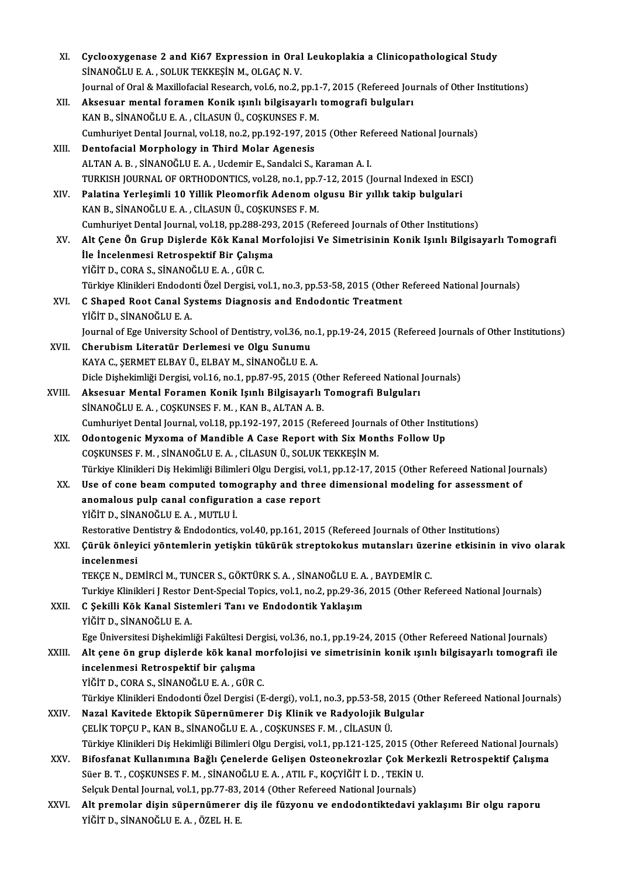| XI.    | Cyclooxygenase 2 and Ki67 Expression in Oral Leukoplakia a Clinicopathological Study                                                                                                                                   |
|--------|------------------------------------------------------------------------------------------------------------------------------------------------------------------------------------------------------------------------|
|        | SİNANOĞLU E. A., SOLUK TEKKEŞİN M., OLGAÇ N. V.                                                                                                                                                                        |
|        | Journal of Oral & Maxillofacial Research, vol.6, no.2, pp.1-7, 2015 (Refereed Journals of Other Institutions)                                                                                                          |
| XII.   | Aksesuar mental foramen Konik ışınlı bilgisayarlı tomografi bulguları                                                                                                                                                  |
|        | KAN B., SİNANOĞLU E. A., CİLASUN Ü., COŞKUNSES F. M.                                                                                                                                                                   |
|        | Cumhuriyet Dental Journal, vol.18, no.2, pp.192-197, 2015 (Other Refereed National Journals)                                                                                                                           |
| XIII.  | Dentofacial Morphology in Third Molar Agenesis                                                                                                                                                                         |
|        | ALTAN A. B., SİNANOĞLU E. A., Ucdemir E., Sandalci S., Karaman A. I.                                                                                                                                                   |
|        | TURKISH JOURNAL OF ORTHODONTICS, vol.28, no.1, pp.7-12, 2015 (Journal Indexed in ESCI)                                                                                                                                 |
| XIV.   | Palatina Yerleşimli 10 Yillik Pleomorfik Adenom olgusu Bir yıllık takip bulgulari                                                                                                                                      |
|        | KAN B., SİNANOĞLU E. A., CİLASUN Ü., COŞKUNSES F. M.                                                                                                                                                                   |
|        | Cumhuriyet Dental Journal, vol.18, pp.288-293, 2015 (Refereed Journals of Other Institutions)                                                                                                                          |
| XV.    | Alt Çene Ön Grup Dişlerde Kök Kanal Morfolojisi Ve Simetrisinin Konik Işınlı Bilgisayarlı Tomografi                                                                                                                    |
|        | İle İncelenmesi Retrospektif Bir Çalışma                                                                                                                                                                               |
|        | YİĞİT D., CORA S., SİNANOĞLU E. A., GÜR C.                                                                                                                                                                             |
|        | Türkiye Klinikleri Endodonti Özel Dergisi, vol.1, no.3, pp.53-58, 2015 (Other Refereed National Journals)                                                                                                              |
| XVI.   | C Shaped Root Canal Systems Diagnosis and Endodontic Treatment                                                                                                                                                         |
|        | YİĞİT D., SİNANOĞLU E. A.                                                                                                                                                                                              |
|        | Journal of Ege University School of Dentistry, vol.36, no.1, pp.19-24, 2015 (Refereed Journals of Other Institutions)                                                                                                  |
| XVII.  | Cherubism Literatür Derlemesi ve Olgu Sunumu                                                                                                                                                                           |
|        | KAYA C., ŞERMET ELBAY Ü., ELBAY M., SİNANOĞLU E. A.                                                                                                                                                                    |
|        | Dicle Dişhekimliği Dergisi, vol.16, no.1, pp.87-95, 2015 (Other Refereed National Journals)                                                                                                                            |
| XVIII. | Aksesuar Mental Foramen Konik Işınlı Bilgisayarlı Tomografi Bulguları                                                                                                                                                  |
|        | SİNANOĞLU E. A., COŞKUNSES F. M., KAN B., ALTAN A. B.                                                                                                                                                                  |
|        | Cumhuriyet Dental Journal, vol.18, pp.192-197, 2015 (Refereed Journals of Other Institutions)                                                                                                                          |
| XIX.   | Odontogenic Myxoma of Mandible A Case Report with Six Months Follow Up                                                                                                                                                 |
|        | COȘKUNSES F. M., SİNANOĞLU E. A., CİLASUN Ü., SOLUK TEKKEŞİN M.                                                                                                                                                        |
|        | Türkiye Klinikleri Diş Hekimliği Bilimleri Olgu Dergisi, vol.1, pp.12-17, 2015 (Other Refereed National Journals)                                                                                                      |
| XX.    | Use of cone beam computed tomography and three dimensional modeling for assessment of                                                                                                                                  |
|        | anomalous pulp canal configuration a case report                                                                                                                                                                       |
|        | YİĞİT D., SİNANOĞLU E. A., MUTLU İ.                                                                                                                                                                                    |
|        | Restorative Dentistry & Endodontics, vol.40, pp.161, 2015 (Refereed Journals of Other Institutions)                                                                                                                    |
| XXI.   | Çürük önleyici yöntemlerin yetişkin tükürük streptokokus mutansları üzerine etkisinin in vivo olarak                                                                                                                   |
|        | incelenmesi                                                                                                                                                                                                            |
|        | TEKÇE N., DEMİRCİ M., TUNCER S., GÖKTÜRK S. A., SİNANOĞLU E. A., BAYDEMİR C.                                                                                                                                           |
|        | Turkiye Klinikleri J Restor Dent-Special Topics, vol.1, no.2, pp.29-36, 2015 (Other Refereed National Journals)                                                                                                        |
| XXII.  | C Şekilli Kök Kanal Sistemleri Tanı ve Endodontik Yaklaşım                                                                                                                                                             |
|        | YİĞİT D., SİNANOĞLU E. A.                                                                                                                                                                                              |
|        | Ege Üniversitesi Dişhekimliği Fakültesi Dergisi, vol.36, no.1, pp.19-24, 2015 (Other Refereed National Journals)                                                                                                       |
| XXIII. | Alt çene ön grup dişlerde kök kanal morfolojisi ve simetrisinin konik ışınlı bilgisayarlı tomografi ile                                                                                                                |
|        | incelenmesi Retrospektif bir çalışma                                                                                                                                                                                   |
|        | YİĞİT D., CORA S., SİNANOĞLU E. A., GÜR C.                                                                                                                                                                             |
|        | Türkiye Klinikleri Endodonti Özel Dergisi (E-dergi), vol.1, no.3, pp.53-58, 2015 (Other Refereed National Journals)                                                                                                    |
| XXIV.  | Nazal Kavitede Ektopik Süpernümerer Diş Klinik ve Radyolojik Bulgular                                                                                                                                                  |
|        | ÇELİK TOPÇU P., KAN B., SİNANOĞLU E. A., COŞKUNSES F. M., CİLASUN Ü.                                                                                                                                                   |
|        | Türkiye Klinikleri Diş Hekimliği Bilimleri Olgu Dergisi, vol.1, pp.121-125, 2015 (Other Refereed National Journals)<br>Bifosfanat Kullanımına Bağlı Çenelerde Gelişen Osteonekrozlar Çok Merkezli Retrospektif Çalışma |
| XXV.   | Süer B. T., COŞKUNSES F. M., SİNANOĞLU E. A., ATIL F., KOÇYİĞİT İ. D., TEKİN U.                                                                                                                                        |
|        | Selçuk Dental Journal, vol.1, pp.77-83, 2014 (Other Refereed National Journals)                                                                                                                                        |
| XXVI.  | Alt premolar dişin süpernümerer diş ile füzyonu ve endodontiktedavi yaklaşımı Bir olgu raporu                                                                                                                          |
|        | YİĞİT D., SİNANOĞLU E. A., ÖZEL H. E.                                                                                                                                                                                  |
|        |                                                                                                                                                                                                                        |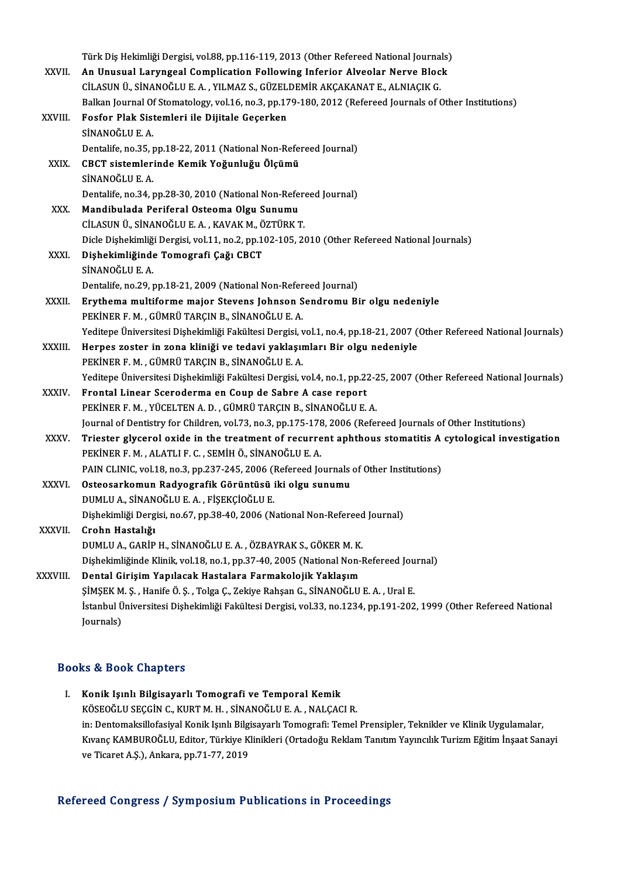|             | Türk Diş Hekimliği Dergisi, vol.88, pp.116-119, 2013 (Other Refereed National Journals)                                                      |
|-------------|----------------------------------------------------------------------------------------------------------------------------------------------|
| XXVII.      | An Unusual Laryngeal Complication Following Inferior Alveolar Nerve Block                                                                    |
|             | CİLASUN Ü., SİNANOĞLU E. A., YILMAZ S., GÜZELDEMİR AKÇAKANAT E., ALNIAÇIK G.                                                                 |
|             | Balkan Journal Of Stomatology, vol.16, no.3, pp.179-180, 2012 (Refereed Journals of Other Institutions)                                      |
| XXVIII.     | Fosfor Plak Sistemleri ile Dijitale Geçerken                                                                                                 |
|             | SİNANOĞLU E.A.                                                                                                                               |
|             | Dentalife, no.35, pp.18-22, 2011 (National Non-Refereed Journal)                                                                             |
| XXIX.       | CBCT sistemlerinde Kemik Yoğunluğu Ölçümü                                                                                                    |
|             | SİNANOĞLU E.A.                                                                                                                               |
|             | Dentalife, no.34, pp.28-30, 2010 (National Non-Refereed Journal)                                                                             |
| XXX.        | Mandibulada Periferal Osteoma Olgu Sunumu                                                                                                    |
|             | CİLASUN Ü, SİNANOĞLU E. A., KAVAK M., ÖZTÜRK T.                                                                                              |
|             | Dicle Dishekimliği Dergisi, vol.11, no.2, pp.102-105, 2010 (Other Refereed National Journals)                                                |
| XXXI.       | Dişhekimliğinde Tomografi Çağı CBCT                                                                                                          |
|             | SİNANOĞLU E.A.                                                                                                                               |
|             | Dentalife, no.29, pp.18-21, 2009 (National Non-Refereed Journal)                                                                             |
| XXXII.      | Erythema multiforme major Stevens Johnson Sendromu Bir olgu nedeniyle                                                                        |
|             | PEKİNER F. M., GÜMRÜ TARÇIN B., SİNANOĞLU E. A.                                                                                              |
|             | Yeditepe Üniversitesi Dişhekimliği Fakültesi Dergisi, vol.1, no.4, pp.18-21, 2007 (Other Refereed National Journals)                         |
| XXXIII.     | Herpes zoster in zona kliniği ve tedavi yaklaşımları Bir olgu nedeniyle                                                                      |
|             | PEKİNER F. M., GÜMRÜ TARÇIN B., SİNANOĞLU E. A.                                                                                              |
|             | Yeditepe Üniversitesi Dişhekimliği Fakültesi Dergisi, vol.4, no.1, pp.22-25, 2007 (Other Refereed National Journals)                         |
| XXXIV.      | Frontal Linear Sceroderma en Coup de Sabre A case report                                                                                     |
|             | PEKİNER F. M., YÜCELTEN A. D., GÜMRÜ TARÇIN B., SİNANOĞLU E. A.                                                                              |
|             | Journal of Dentistry for Children, vol.73, no.3, pp.175-178, 2006 (Refereed Journals of Other Institutions)                                  |
| <b>XXXV</b> | Triester glycerol oxide in the treatment of recurrent aphthous stomatitis A cytological investigation                                        |
|             | PEKİNER F. M., ALATLI F. C., SEMİH Ö., SİNANOĞLU E. A.                                                                                       |
|             | PAIN CLINIC, vol.18, no.3, pp.237-245, 2006 (Refereed Journals of Other Institutions)<br>Osteosarkomun Radyografik Görüntüsü iki olgu sunumu |
| XXXVI.      | DUMLU A., SİNANOĞLU E. A., FİŞEKÇİOĞLU E.                                                                                                    |
|             | Dishekimliği Dergisi, no.67, pp.38-40, 2006 (National Non-Refereed Journal)                                                                  |
| XXXVII.     | Crohn Hastalığı                                                                                                                              |
|             | DUMLU A., GARİP H., SİNANOĞLU E. A., ÖZBAYRAK S., GÖKER M. K.                                                                                |
|             | Dişhekimliğinde Klinik, vol.18, no.1, pp.37-40, 2005 (National Non-Refereed Journal)                                                         |
| XXXVIII.    | Dental Girişim Yapılacak Hastalara Farmakolojik Yaklaşım                                                                                     |
|             | ŞİMŞEK M. Ş., Hanife Ö. Ş., Tolga Ç., Zekiye Rahşan G., SİNANOĞLU E. A., Ural E.                                                             |
|             | İstanbul Üniversitesi Dişhekimliği Fakültesi Dergisi, vol.33, no.1234, pp.191-202, 1999 (Other Refereed National                             |
|             | Journals)                                                                                                                                    |
|             |                                                                                                                                              |

### Books&Book Chapters

```
I. Konik Işınlı Bilgisayarlı Tomografi ve Temporal Kemik
        KÖSEOĞLU SEÇGİN C., KURT M. H., SİNANOĞLU E. A., NALÇACI R.
        in: Dentomaksillofasiyal Konik Işınlı Bilgisayarlı Tomografi: Temel Prensipler, Teknikler ve Klinik Uygulamalar,
         KÖSEOĞLU SEÇGİN C., KURT M. H. , SİNANOĞLU E. A. , NALÇACI R.<br>in: Dentomaksillofasiyal Konik Işınlı Bilgisayarlı Tomografi: Temel Prensipler, Teknikler ve Klinik Uygulamalar,<br>Kıvanç KAMBUROĞLU, Editor, Türkiye Klinikleri (
         in: Dentomaksillofasiyal Konik Işınlı Bilgi<br>Kıvanç KAMBUROĞLU, Editor, Türkiye K<br>ve Ticaret A.Ş.), Ankara, pp.71-77, 2019
ve Ticaret A.Ş.), Ankara, pp.71-77, 2019<br>Refereed Congress / Symposium Publications in Proceedings
```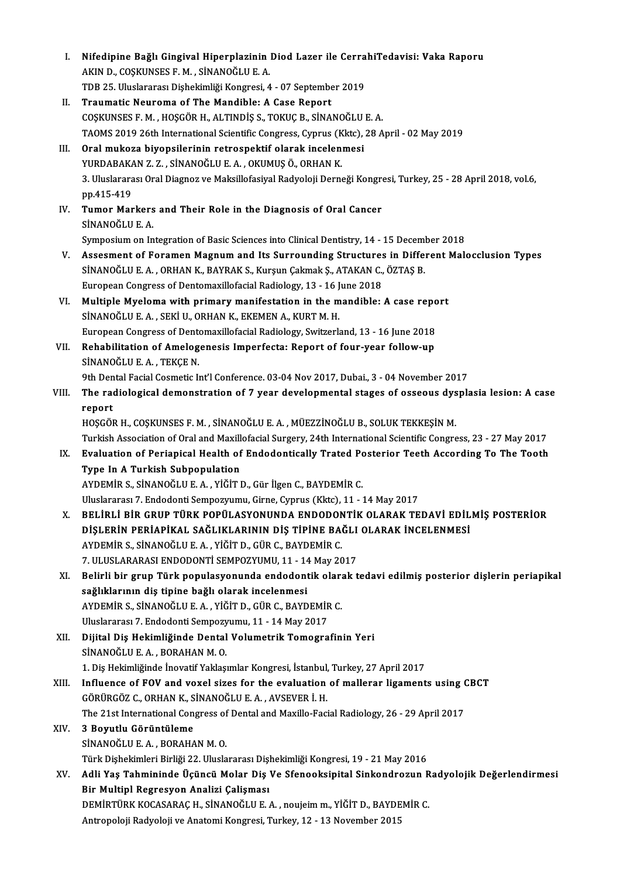| I.    | Nifedipine Bağlı Gingival Hiperplazinin Diod Lazer ile CerrahiTedavisi: Vaka Raporu                             |
|-------|-----------------------------------------------------------------------------------------------------------------|
|       | AKIN D., COŞKUNSES F. M., SİNANOĞLU E. A.                                                                       |
|       | TDB 25. Uluslararası Dişhekimliği Kongresi, 4 - 07 September 2019                                               |
| II.   | Traumatic Neuroma of The Mandible: A Case Report                                                                |
|       | COȘKUNSES F. M., HOȘGÖR H., ALTINDIȘ S., TOKUÇ B., SINANOĞLU E. A.                                              |
|       | TAOMS 2019 26th International Scientific Congress, Cyprus (Kktc), 28 April - 02 May 2019                        |
| III.  | Oral mukoza biyopsilerinin retrospektif olarak incelenmesi                                                      |
|       | YURDABAKAN Z. Z., SİNANOĞLU E. A., OKUMUŞ Ö., ORHAN K.                                                          |
|       | 3. Uluslararası Oral Diagnoz ve Maksillofasiyal Radyoloji Derneği Kongresi, Turkey, 25 - 28 April 2018, vol.6,  |
|       | pp 415-419                                                                                                      |
| IV.   | Tumor Markers and Their Role in the Diagnosis of Oral Cancer                                                    |
|       | SİNANOĞLU E.A.                                                                                                  |
|       | Symposium on Integration of Basic Sciences into Clinical Dentistry, 14 - 15 December 2018                       |
| V.    | Assesment of Foramen Magnum and Its Surrounding Structures in Different Malocclusion Types                      |
|       | SİNANOĞLU E. A., ORHAN K., BAYRAK S., Kurşun Çakmak Ş., ATAKAN C., ÖZTAŞ B.                                     |
|       | European Congress of Dentomaxillofacial Radiology, 13 - 16 June 2018                                            |
| VI.   | Multiple Myeloma with primary manifestation in the mandible: A case report                                      |
|       | SİNANOĞLU E. A., SEKİ U., ORHAN K., EKEMEN A., KURT M. H.                                                       |
|       | European Congress of Dentomaxillofacial Radiology, Switzerland, 13 - 16 June 2018                               |
| VII.  | Rehabilitation of Amelogenesis Imperfecta: Report of four-year follow-up                                        |
|       | SİNANOĞLU E.A., TEKÇE N.                                                                                        |
|       | 9th Dental Facial Cosmetic Int'l Conference. 03-04 Nov 2017, Dubai., 3 - 04 November 2017                       |
| VIII. | The radiological demonstration of 7 year developmental stages of osseous dysplasia lesion: A case               |
|       | report                                                                                                          |
|       | HOŞGÖR H., COŞKUNSES F. M., SİNANOĞLU E. A., MÜEZZİNOĞLU B., SOLUK TEKKEŞİN M.                                  |
|       | Turkish Association of Oral and Maxillofacial Surgery, 24th International Scientific Congress, 23 - 27 May 2017 |
| IX.   | Evaluation of Periapical Health of Endodontically Trated Posterior Teeth According To The Tooth                 |
|       | Type In A Turkish Subpopulation                                                                                 |
|       | AYDEMİR S. SİNANOĞLU E. A. , YİĞİT D., Gür İlgen C., BAYDEMİR C.                                                |
|       | Uluslararası 7. Endodonti Sempozyumu, Girne, Cyprus (Kktc), 11 - 14 May 2017                                    |
| X.    | BELİRLİ BİR GRUP TÜRK POPÜLASYONUNDA ENDODONTİK OLARAK TEDAVİ EDİLMİŞ POSTERİOR                                 |
|       | DİŞLERİN PERİAPİKAL SAĞLIKLARININ DİŞ TİPİNE BAĞLI OLARAK İNCELENMESİ                                           |
|       | AYDEMİR S., SİNANOĞLU E. A., YİĞİT D., GÜR C., BAYDEMİR C.                                                      |
|       | 7. ULUSLARARASI ENDODONTİ SEMPOZYUMU, 11 - 14 May 2017                                                          |
| XI.   | Belirli bir grup Türk populasyonunda endodontik olarak tedavi edilmiş posterior dişlerin periapikal             |
|       | sağlıklarının diş tipine bağlı olarak incelenmesi                                                               |
|       | AYDEMİR S., SİNANOĞLU E. A., YİĞİT D., GÜR C., BAYDEMİR C.                                                      |
|       | Uluslararası 7. Endodonti Sempozyumu, 11 - 14 May 2017                                                          |
| XII.  | Dijital Diş Hekimliğinde Dental Volumetrik Tomografinin Yeri                                                    |
|       | SİNANOĞLU E.A., BORAHAN M.O.                                                                                    |
|       | 1. Diş Hekimliğinde İnovatif Yaklaşımlar Kongresi, İstanbul, Turkey, 27 April 2017                              |
| XIII. | Influence of FOV and voxel sizes for the evaluation of mallerar ligaments using CBCT                            |
|       | GÖRÜRGÖZ C., ORHAN K., SİNANOĞLU E. A., AVSEVER İ. H.                                                           |
|       | The 21st International Congress of Dental and Maxillo-Facial Radiology, 26 - 29 April 2017                      |
| XIV.  | 3 Boyutlu Görüntüleme                                                                                           |
|       | SİNANOĞLU E.A., BORAHAN M.O.                                                                                    |
|       | Türk Dişhekimleri Birliği 22. Uluslararası Dişhekimliği Kongresi, 19 - 21 May 2016                              |
| XV.   | Adli Yaş Tahmininde Üçüncü Molar Diş Ve Sfenooksipital Sinkondrozun Radyolojik Değerlendirmesi                  |
|       | Bir Multipl Regresyon Analizi Çalişması                                                                         |
|       | DEMİRTÜRK KOCASARAÇ H., SİNANOĞLU E. A., noujeim m., YİĞİT D., BAYDEMİR C.                                      |
|       | Antropoloji Radyoloji ve Anatomi Kongresi, Turkey, 12 - 13 November 2015                                        |
|       |                                                                                                                 |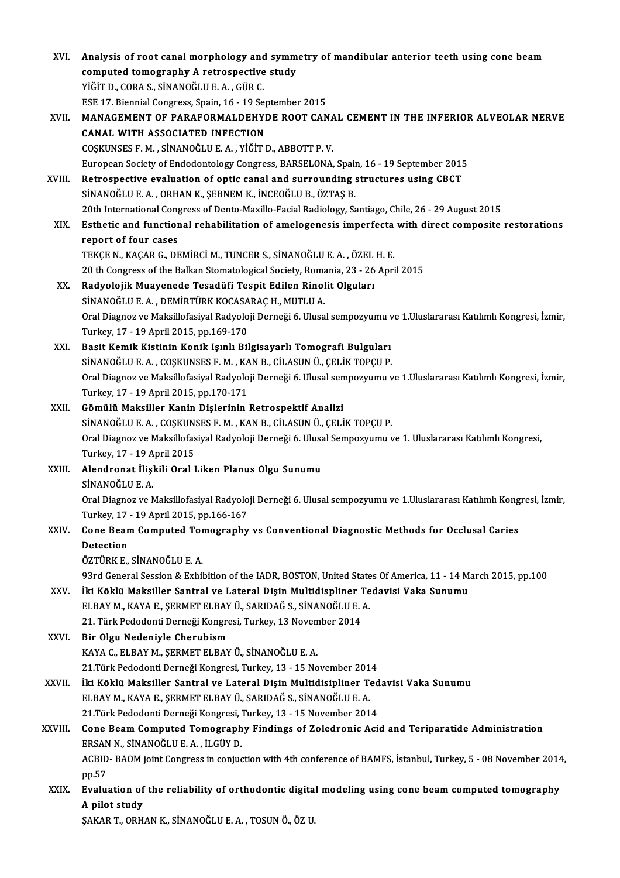| XVI.    | Analysis of root canal morphology and symmetry of mandibular anterior teeth using cone beam<br>computed tomography A retrospective study   |
|---------|--------------------------------------------------------------------------------------------------------------------------------------------|
|         | YİĞİT D., CORA S., SİNANOĞLU E. A., GÜR C.                                                                                                 |
|         | ESE 17. Biennial Congress, Spain, 16 - 19 September 2015                                                                                   |
| XVII.   | MANAGEMENT OF PARAFORMALDEHYDE ROOT CANAL CEMENT IN THE INFERIOR ALVEOLAR NERVE                                                            |
|         | <b>CANAL WITH ASSOCIATED INFECTION</b>                                                                                                     |
|         | COŞKUNSES F. M., SİNANOĞLU E. A., YİĞİT D., ABBOTT P. V.                                                                                   |
|         | European Society of Endodontology Congress, BARSELONA, Spain, 16 - 19 September 2015                                                       |
|         | Retrospective evaluation of optic canal and surrounding structures using CBCT                                                              |
| XVIII.  | SİNANOĞLU E. A., ORHAN K., ŞEBNEM K., İNCEOĞLU B., ÖZTAŞ B.                                                                                |
|         | 20th International Congress of Dento-Maxillo-Facial Radiology, Santiago, Chile, 26 - 29 August 2015                                        |
| XIX.    | Esthetic and functional rehabilitation of amelogenesis imperfecta with direct composite restorations                                       |
|         | report of four cases                                                                                                                       |
|         | TEKÇE N., KAÇAR G., DEMİRCİ M., TUNCER S., SİNANOĞLU E. A., ÖZEL H. E.                                                                     |
|         | 20 th Congress of the Balkan Stomatological Society, Romania, 23 - 26 April 2015                                                           |
|         |                                                                                                                                            |
| XX.     | Radyolojik Muayenede Tesadüfi Tespit Edilen Rinolit Olguları<br>SİNANOĞLU E. A., DEMİRTÜRK KOCASARAÇ H., MUTLU A.                          |
|         | Oral Diagnoz ve Maksillofasiyal Radyoloji Derneği 6. Ulusal sempozyumu ve 1.Uluslararası Katılımlı Kongresi, İzmir,                        |
|         |                                                                                                                                            |
| XXI.    | Turkey, 17 - 19 April 2015, pp 169-170                                                                                                     |
|         | Basit Kemik Kistinin Konik Işınlı Bilgisayarlı Tomografi Bulguları<br>SİNANOĞLU E. A., COŞKUNSES F. M., KAN B., CİLASUN Ü., ÇELİK TOPÇU P. |
|         | Oral Diagnoz ve Maksillofasiyal Radyoloji Derneği 6. Ulusal sempozyumu ve 1.Uluslararası Katılımlı Kongresi, İzmir,                        |
|         | Turkey, 17 - 19 April 2015, pp 170-171                                                                                                     |
| XXII.   | Gömülü Maksiller Kanin Dişlerinin Retrospektif Analizi                                                                                     |
|         | SİNANOĞLU E. A., COŞKUNSES F. M., KAN B., CİLASUN Ü., ÇELİK TOPÇU P.                                                                       |
|         | Oral Diagnoz ve Maksillofasiyal Radyoloji Derneği 6. Ulusal Sempozyumu ve 1. Uluslararası Katılımlı Kongresi,                              |
|         | Turkey, 17 - 19 April 2015                                                                                                                 |
| XXIII.  | Alendronat İlişkili Oral Liken Planus Olgu Sunumu                                                                                          |
|         | SİNANOĞLU E. A.                                                                                                                            |
|         | Oral Diagnoz ve Maksillofasiyal Radyoloji Derneği 6. Ulusal sempozyumu ve 1.Uluslararası Katılımlı Kongresi, İzmir,                        |
|         | Turkey, 17 - 19 April 2015, pp 166-167                                                                                                     |
| XXIV.   | Cone Beam Computed Tomography vs Conventional Diagnostic Methods for Occlusal Caries                                                       |
|         | Detection                                                                                                                                  |
|         | ÖZTÜRK E., SİNANOĞLU E. A.                                                                                                                 |
|         | 93rd General Session & Exhibition of the IADR, BOSTON, United States Of America, 11 - 14 March 2015, pp.100                                |
| XXV.    | İki Köklü Maksiller Santral ve Lateral Dişin Multidispliner Tedavisi Vaka Sunumu                                                           |
|         | ELBAY M., KAYA E., ŞERMET ELBAY Ü., SARIDAĞ S., SİNANOĞLU E. A.                                                                            |
|         | 21. Türk Pedodonti Derneği Kongresi, Turkey, 13 November 2014                                                                              |
| XXVI.   | Bir Olgu Nedeniyle Cherubism                                                                                                               |
|         | KAYA C., ELBAY M., ŞERMET ELBAY Ü., SİNANOĞLU E. A.                                                                                        |
|         | 21. Türk Pedodonti Derneği Kongresi, Turkey, 13 - 15 November 2014                                                                         |
| XXVII.  | İki Köklü Maksiller Santral ve Lateral Dişin Multidisipliner Tedavisi Vaka Sunumu                                                          |
|         | ELBAY M., KAYA E., ŞERMET ELBAY Ü., SARIDAĞ S., SİNANOĞLU E. A.                                                                            |
|         | 21. Türk Pedodonti Derneği Kongresi, Turkey, 13 - 15 November 2014                                                                         |
| XXVIII. | Cone Beam Computed Tomography Findings of Zoledronic Acid and Teriparatide Administration                                                  |
|         | ERSAN N., SİNANOĞLU E. A., İLGÜY D.                                                                                                        |
|         | ACBID-BAOM joint Congress in conjuction with 4th conference of BAMFS, İstanbul, Turkey, 5 - 08 November 2014,                              |
|         | pp.57                                                                                                                                      |
| XXIX.   | Evaluation of the reliability of orthodontic digital modeling using cone beam computed tomography                                          |
|         | A pilot study                                                                                                                              |
|         | ŞAKAR T., ORHAN K., SİNANOĞLU E. A., TOSUN Ö., ÖZ U.                                                                                       |
|         |                                                                                                                                            |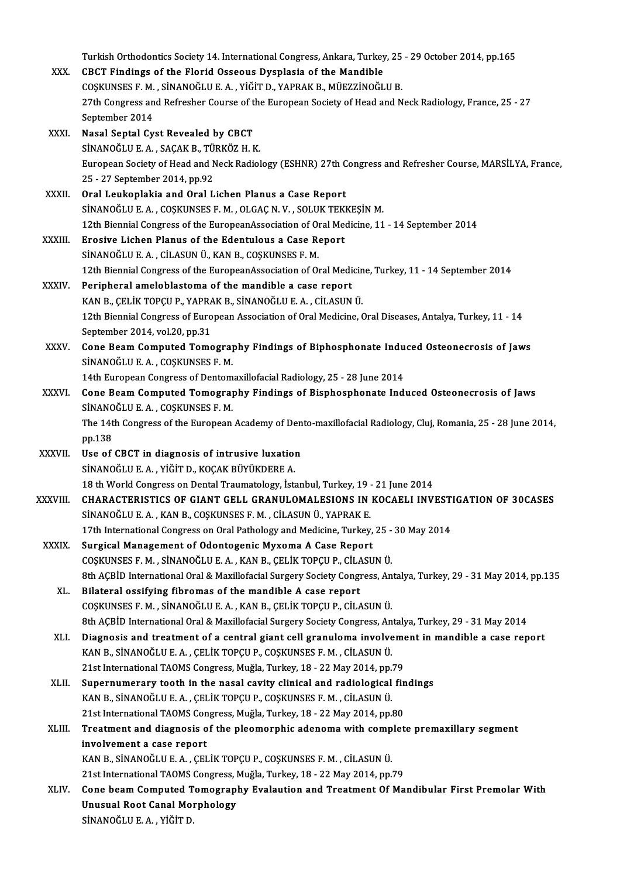|               | Turkish Orthodontics Society 14. International Congress, Ankara, Turkey, 25 - 29 October 2014, pp.165                            |
|---------------|----------------------------------------------------------------------------------------------------------------------------------|
| XXX.          | CBCT Findings of the Florid Osseous Dysplasia of the Mandible                                                                    |
|               | COȘKUNSES F. M., SİNANOĞLU E. A., YİĞİT D., YAPRAK B., MÜEZZİNOĞLU B.                                                            |
|               | 27th Congress and Refresher Course of the European Society of Head and Neck Radiology, France, 25 - 27                           |
|               | September 2014                                                                                                                   |
| XXXI.         | Nasal Septal Cyst Revealed by CBCT                                                                                               |
|               | SİNANOĞLU E. A., SAÇAK B., TÜRKÖZ H. K.                                                                                          |
|               | European Society of Head and Neck Radiology (ESHNR) 27th Congress and Refresher Course, MARSİLYA, France,                        |
|               | 25 - 27 September 2014, pp 92                                                                                                    |
| XXXII.        | Oral Leukoplakia and Oral Lichen Planus a Case Report                                                                            |
|               | SİNANOĞLU E. A., COŞKUNSES F. M., OLGAÇ N. V., SOLUK TEKKEŞİN M.                                                                 |
|               | 12th Biennial Congress of the EuropeanAssociation of Oral Medicine, 11 - 14 September 2014                                       |
| XXXIII.       | Erosive Lichen Planus of the Edentulous a Case Report                                                                            |
|               | SİNANOĞLU E. A., CİLASUN Ü., KAN B., COŞKUNSES F. M.                                                                             |
|               | 12th Biennial Congress of the EuropeanAssociation of Oral Medicine, Turkey, 11 - 14 September 2014                               |
| <b>XXXIV</b>  | Peripheral ameloblastoma of the mandible a case report                                                                           |
|               | KAN B., ÇELİK TOPÇU P., YAPRAK B., SİNANOĞLU E. A., CİLASUN Ü.                                                                   |
|               | 12th Biennial Congress of European Association of Oral Medicine, Oral Diseases, Antalya, Turkey, 11 - 14                         |
|               | September 2014, vol.20, pp.31                                                                                                    |
| XXXV.         | Cone Beam Computed Tomography Findings of Biphosphonate Induced Osteonecrosis of Jaws                                            |
|               | SİNANOĞLU E. A., COŞKUNSES F. M.                                                                                                 |
|               | 14th European Congress of Dentomaxillofacial Radiology, 25 - 28 June 2014                                                        |
| XXXVI.        | Cone Beam Computed Tomography Findings of Bisphosphonate Induced Osteonecrosis of Jaws                                           |
|               | SINANOĞLU E.A., COŞKUNSES F.M.                                                                                                   |
|               | The 14th Congress of the European Academy of Dento-maxillofacial Radiology, Cluj, Romania, 25 - 28 June 2014,                    |
| <b>XXXVII</b> | pp 138<br>Use of CBCT in diagnosis of intrusive luxation                                                                         |
|               | SİNANOĞLU E. A., YİĞİT D., KOÇAK BÜYÜKDERE A.                                                                                    |
|               | 18 th World Congress on Dental Traumatology, İstanbul, Turkey, 19 - 21 June 2014                                                 |
| XXXVIII.      | CHARACTERISTICS OF GIANT GELL GRANULOMALESIONS IN KOCAELI INVESTIGATION OF 30CASES                                               |
|               | SİNANOĞLU E. A., KAN B., COŞKUNSES F. M., CİLASUN Ü., YAPRAK E.                                                                  |
|               | 17th International Congress on Oral Pathology and Medicine, Turkey, 25 - 30 May 2014                                             |
| <b>XXXIX</b>  | Surgical Management of Odontogenic Myxoma A Case Report                                                                          |
|               | COȘKUNSES F. M., SİNANOĞLU E. A., KAN B., ÇELİK TOPÇU P., CİLASUN Ü.                                                             |
|               | 8th AÇBİD International Oral & Maxillofacial Surgery Society Congress, Antalya, Turkey, 29 - 31 May 2014, pp.135                 |
| XL.           | Bilateral ossifying fibromas of the mandible A case report                                                                       |
|               | COȘKUNSES F. M., SİNANOĞLU E. A., KAN B., ÇELİK TOPÇU P., CİLASUN Ü.                                                             |
|               | 8th AÇBİD International Oral & Maxillofacial Surgery Society Congress, Antalya, Turkey, 29 - 31 May 2014                         |
| XLI.          | Diagnosis and treatment of a central giant cell granuloma involvement in mandible a case report                                  |
|               | KAN B., SİNANOĞLU E. A., ÇELİK TOPÇU P., COŞKUNSES F. M., CİLASUN Ü.                                                             |
|               | 21st International TAOMS Congress, Muğla, Turkey, 18 - 22 May 2014, pp.79                                                        |
| XLII.         | Supernumerary tooth in the nasal cavity clinical and radiological findings                                                       |
|               | KAN B., SİNANOĞLU E. A., ÇELİK TOPÇU P., COŞKUNSES F. M., CİLASUN Ü.                                                             |
|               | 21st International TAOMS Congress, Muğla, Turkey, 18 - 22 May 2014, pp.80                                                        |
| XLIII.        | Treatment and diagnosis of the pleomorphic adenoma with complete premaxillary segment                                            |
|               | involvement a case report                                                                                                        |
|               | KAN B., SİNANOĞLU E. A., ÇELİK TOPÇU P., COŞKUNSES F. M., CİLASUN Ü.                                                             |
|               | 21st International TAOMS Congress, Muğla, Turkey, 18 - 22 May 2014, pp.79                                                        |
| XLIV.         | Cone beam Computed Tomography Evalaution and Treatment Of Mandibular First Premolar With<br><b>Unusual Root Canal Morphology</b> |
|               | SİNANOĞLU E.A., YİĞİT D.                                                                                                         |
|               |                                                                                                                                  |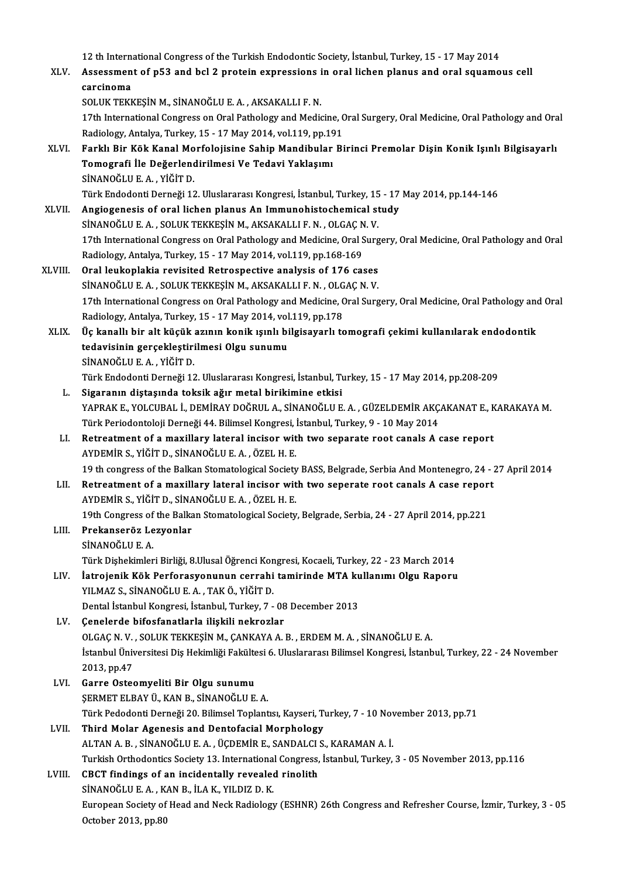12 th International Congress of the Turkish Endodontic Society, İstanbul, Turkey, 15 - 17 May 2014<br>Assessment of pE2 and bel 2 protein expressions in oral lishen planus and eral squame

|         | 12 th International Congress of the Turkish Endodontic Society, İstanbul, Turkey, 15 - 17 May 2014                                                                             |
|---------|--------------------------------------------------------------------------------------------------------------------------------------------------------------------------------|
| XLV.    | Assessment of p53 and bcl 2 protein expressions in oral lichen planus and oral squamous cell                                                                                   |
|         | carcinoma                                                                                                                                                                      |
|         | SOLUK TEKKEŞİN M., SİNANOĞLU E. A., AKSAKALLI F. N.                                                                                                                            |
|         | 17th International Congress on Oral Pathology and Medicine, Oral Surgery, Oral Medicine, Oral Pathology and Oral                                                               |
|         | Radiology, Antalya, Turkey, 15 - 17 May 2014, vol.119, pp.191                                                                                                                  |
| XLVI.   | Farklı Bir Kök Kanal Morfolojisine Sahip Mandibular Birinci Premolar Dişin Konik Işınlı Bilgisayarlı                                                                           |
|         | Tomografi İle Değerlendirilmesi Ve Tedavi Yaklaşımı                                                                                                                            |
|         | SİNANOĞLU E.A., YİĞİT D.                                                                                                                                                       |
|         | Türk Endodonti Derneği 12. Uluslararası Kongresi, İstanbul, Turkey, 15 - 17 May 2014, pp.144-146                                                                               |
| XLVII.  | Angiogenesis of oral lichen planus An Immunohistochemical study                                                                                                                |
|         | SİNANOĞLU E. A., SOLUK TEKKEŞİN M., AKSAKALLI F. N., OLGAÇ N. V.                                                                                                               |
|         | 17th International Congress on Oral Pathology and Medicine, Oral Surgery, Oral Medicine, Oral Pathology and Oral                                                               |
|         | Radiology, Antalya, Turkey, 15 - 17 May 2014, vol.119, pp.168-169                                                                                                              |
| XLVIII. | Oral leukoplakia revisited Retrospective analysis of 176 cases                                                                                                                 |
|         | SİNANOĞLU E. A., SOLUK TEKKEŞİN M., AKSAKALLI F. N., OLGAÇ N. V.                                                                                                               |
|         | 17th International Congress on Oral Pathology and Medicine, Oral Surgery, Oral Medicine, Oral Pathology and Oral                                                               |
|         | Radiology, Antalya, Turkey, 15 - 17 May 2014, vol 119, pp 178                                                                                                                  |
| XLIX.   | Üç kanallı bir alt küçük azının konik ışınlı bilgisayarlı tomografi çekimi kullanılarak endodontik                                                                             |
|         | tedavisinin gerçekleştirilmesi Olgu sunumu                                                                                                                                     |
|         | SİNANOĞLU E.A., YİĞİT D.                                                                                                                                                       |
|         | Türk Endodonti Derneği 12. Uluslararası Kongresi, İstanbul, Turkey, 15 - 17 May 2014, pp.208-209                                                                               |
| L.      | Sigaranın diştaşında toksik ağır metal birikimine etkisi<br>YAPRAK E., YOLCUBAL İ., DEMİRAY DOĞRUL A., SİNANOĞLU E. A., GÜZELDEMİR AKÇAKANAT E., KARAKAYA M.                   |
|         |                                                                                                                                                                                |
|         | Türk Periodontoloji Derneği 44. Bilimsel Kongresi, İstanbul, Turkey, 9 - 10 May 2014<br>Retreatment of a maxillary lateral incisor with two separate root canals A case report |
| LI.     | AYDEMİR S., YİĞİT D., SİNANOĞLU E. A., ÖZEL H. E.                                                                                                                              |
|         | 19 th congress of the Balkan Stomatological Society BASS, Belgrade, Serbia And Montenegro, 24 - 27 April 2014                                                                  |
| LII.    | Retreatment of a maxillary lateral incisor with two seperate root canals A case report                                                                                         |
|         | AYDEMİR S., YİĞİT D., SİNANOĞLU E. A. , ÖZEL H. E.                                                                                                                             |
|         | 19th Congress of the Balkan Stomatological Society, Belgrade, Serbia, 24 - 27 April 2014, pp.221                                                                               |
| LIII.   | Prekanseröz Lezyonlar                                                                                                                                                          |
|         | SİNANOĞLU E.A.                                                                                                                                                                 |
|         | Türk Dişhekimleri Birliği, 8.Ulusal Öğrenci Kongresi, Kocaeli, Turkey, 22 - 23 March 2014                                                                                      |
| LIV.    | İatrojenik Kök Perforasyonunun cerrahi tamirinde MTA kullanımı Olgu Raporu                                                                                                     |
|         | YILMAZ S., SİNANOĞLU E. A., TAK Ö., YİĞİT D.                                                                                                                                   |
|         | Dental İstanbul Kongresi, İstanbul, Turkey, 7 - 08 December 2013                                                                                                               |
| LV.     | Çenelerde bifosfanatlarla ilişkili nekrozlar                                                                                                                                   |
|         | OLGAÇ N.V., SOLUK TEKKEŞİN M., ÇANKAYA A.B., ERDEM M.A., SİNANOĞLU E.A.                                                                                                        |
|         | İstanbul Üniversitesi Diş Hekimliği Fakültesi 6. Uluslararası Bilimsel Kongresi, İstanbul, Turkey, 22 - 24 November                                                            |
|         | 2013, pp.47                                                                                                                                                                    |
| LVI.    | Garre Osteomyeliti Bir Olgu sunumu                                                                                                                                             |
|         | ŞERMET ELBAY Ü., KAN B., SİNANOĞLU E. A.                                                                                                                                       |
|         | Türk Pedodonti Derneği 20. Bilimsel Toplantısı, Kayseri, Turkey, 7 - 10 November 2013, pp.71                                                                                   |
| LVII.   | Third Molar Agenesis and Dentofacial Morphology                                                                                                                                |
|         | ALTAN A. B., SİNANOĞLU E. A., ÜÇDEMİR E., SANDALCI S., KARAMAN A. İ.                                                                                                           |
|         | Turkish Orthodontics Society 13. International Congress, İstanbul, Turkey, 3 - 05 November 2013, pp.116                                                                        |
| LVIII.  | CBCT findings of an incidentally revealed rinolith                                                                                                                             |
|         | SİNANOĞLU E. A., KAN B., İLA K., YILDIZ D. K.                                                                                                                                  |
|         | European Society of Head and Neck Radiology (ESHNR) 26th Congress and Refresher Course, İzmir, Turkey, 3 - 05                                                                  |
|         | October 2013, pp.80                                                                                                                                                            |
|         |                                                                                                                                                                                |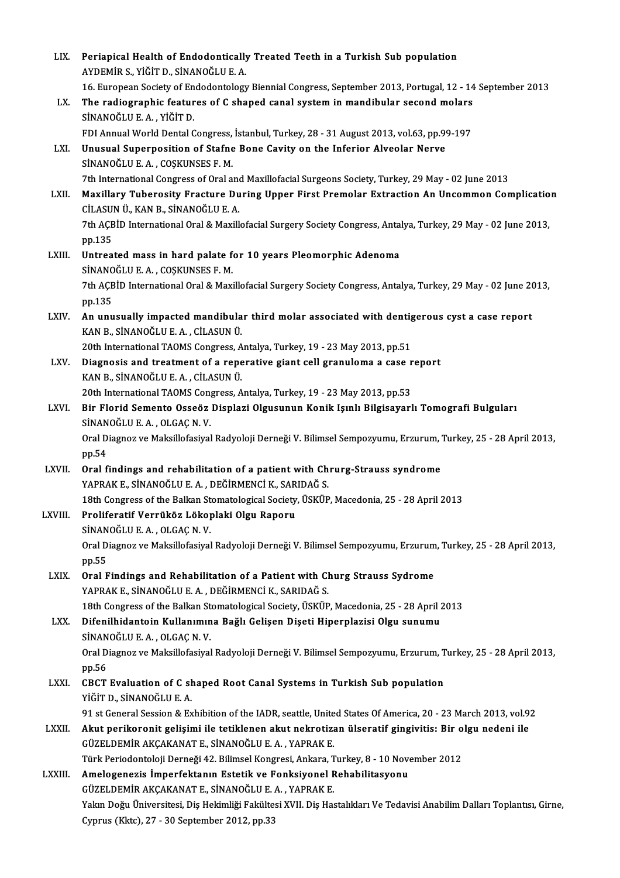| LIX.         | Periapical Health of Endodontically Treated Teeth in a Turkish Sub population<br>AYDEMIR S., YİĞİT D., SİNANOĞLU E. A.                                                  |
|--------------|-------------------------------------------------------------------------------------------------------------------------------------------------------------------------|
|              | 16. European Society of Endodontology Biennial Congress, September 2013, Portugal, 12 - 14 September 2013                                                               |
| LX.          | The radiographic features of C shaped canal system in mandibular second molars<br>SİNANOĞLU E.A., YİĞİT D.                                                              |
|              | FDI Annual World Dental Congress, İstanbul, Turkey, 28 - 31 August 2013, vol.63, pp.99-197                                                                              |
| LXI.         | Unusual Superposition of Stafne Bone Cavity on the Inferior Alveolar Nerve<br>SİNANOĞLU E. A., COŞKUNSES F. M.                                                          |
|              | 7th International Congress of Oral and Maxillofacial Surgeons Society, Turkey, 29 May - 02 June 2013                                                                    |
| LXII.        | Maxillary Tuberosity Fracture During Upper First Premolar Extraction An Uncommon Complication<br>CİLASUN Ü., KAN B., SİNANOĞLU E. A.                                    |
|              | 7th AÇBİD International Oral & Maxillofacial Surgery Society Congress, Antalya, Turkey, 29 May - 02 June 2013,<br>pp 135                                                |
| LXIII.       | Untreated mass in hard palate for 10 years Pleomorphic Adenoma<br>SİNANOĞLU E.A., COŞKUNSES F.M.                                                                        |
|              | 7th AÇBİD International Oral & Maxillofacial Surgery Society Congress, Antalya, Turkey, 29 May - 02 June 2013,<br>pp 135                                                |
| LXIV.        | An unusually impacted mandibular third molar associated with dentigerous cyst a case report<br>KAN B., SİNANOĞLU E. A., CİLASUN Ü.                                      |
|              | 20th International TAOMS Congress, Antalya, Turkey, 19 - 23 May 2013, pp.51                                                                                             |
| LXV.         | Diagnosis and treatment of a reperative giant cell granuloma a case report<br>KAN B., SİNANOĞLU E. A., CİLASUN Ü.                                                       |
|              | 20th International TAOMS Congress, Antalya, Turkey, 19 - 23 May 2013, pp.53                                                                                             |
| LXVI.        | Bir Florid Semento Osseöz Displazi Olgusunun Konik Işınlı Bilgisayarlı Tomografi Bulguları<br>SINANOĞLU E A , OLGAÇ N V                                                 |
|              | Oral Diagnoz ve Maksillofasiyal Radyoloji Derneği V. Bilimsel Sempozyumu, Erzurum, Turkey, 25 - 28 April 2013,<br>pp 54                                                 |
| LXVII.       | Oral findings and rehabilitation of a patient with Chrurg-Strauss syndrome<br>YAPRAK E., SİNANOĞLU E. A. . DEĞİRMENCİ K., SARIDAĞ S.                                    |
|              | 18th Congress of the Balkan Stomatological Society, ÜSKÜP, Macedonia, 25 - 28 April 2013                                                                                |
| LXVIII.      | Proliferatif Verrüköz Lökoplaki Olgu Raporu<br>SİNANOĞLU E.A., OLGAÇ N.V.                                                                                               |
|              | Oral Diagnoz ve Maksillofasiyal Radyoloji Derneği V. Bilimsel Sempozyumu, Erzurum, Turkey, 25 - 28 April 2013,<br>pp.55                                                 |
| LXIX.        | Oral Findings and Rehabilitation of a Patient with Churg Strauss Sydrome<br>YAPRAK E., SİNANOĞLU E. A., DEĞİRMENCİ K., SARIDAĞ S.                                       |
|              | 18th Congress of the Balkan Stomatological Society, ÜSKÜP, Macedonia, 25 - 28 April 2013                                                                                |
| LXX.         | Difenilhidantoin Kullanımına Bağlı Gelişen Dişeti Hiperplazisi Olgu sunumu<br>SINANOĞLU E.A., OLGAÇ N.V.                                                                |
|              | Oral Diagnoz ve Maksillofasiyal Radyoloji Derneği V. Bilimsel Sempozyumu, Erzurum, Turkey, 25 - 28 April 2013,<br>pp.56                                                 |
| <b>LXXI</b>  | CBCT Evaluation of C shaped Root Canal Systems in Turkish Sub population<br>YİĞİT D., SİNANOĞLU E. A.                                                                   |
|              | 91 st General Session & Exhibition of the IADR, seattle, United States Of America, 20 - 23 March 2013, vol.92                                                           |
| <b>LXXII</b> | Akut perikoronit gelişimi ile tetiklenen akut nekrotizan ülseratif gingivitis: Bir olgu nedeni ile<br>GÜZELDEMİR AKÇAKANAT E., SİNANOĞLU E. A., YAPRAK E.               |
|              | Türk Periodontoloji Derneği 42. Bilimsel Kongresi, Ankara, Turkey, 8 - 10 November 2012                                                                                 |
| LXXIII.      | Amelogenezis İmperfektanın Estetik ve Fonksiyonel Rehabilitasyonu<br>GÜZELDEMİR AKÇAKANAT E., SİNANOĞLU E. A., YAPRAK E.                                                |
|              | Yakın Doğu Üniversitesi, Diş Hekimliği Fakültesi XVII. Diş Hastalıkları Ve Tedavisi Anabilim Dalları Toplantısı, Girne,<br>Cyprus (Kktc), 27 - 30 September 2012, pp.33 |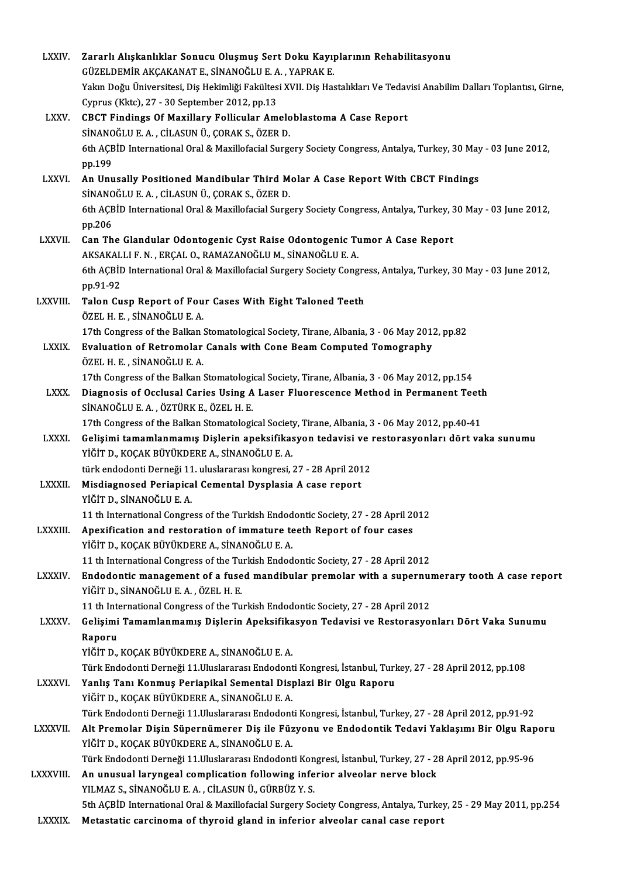| <b>LXXIV</b>   | Zararlı Alışkanlıklar Sonucu Oluşmuş Sert Doku Kayıplarının Rehabilitasyonu                                                                                                       |
|----------------|-----------------------------------------------------------------------------------------------------------------------------------------------------------------------------------|
|                | GÜZELDEMİR AKÇAKANAT E., SİNANOĞLU E. A., YAPRAK E.                                                                                                                               |
|                | Yakın Doğu Üniversitesi, Diş Hekimliği Fakültesi XVII. Diş Hastalıkları Ve Tedavisi Anabilim Dalları Toplantısı, Girne,                                                           |
|                | Cyprus (Kktc), 27 - 30 September 2012, pp.13                                                                                                                                      |
| <b>LXXV.</b>   | CBCT Findings Of Maxillary Follicular Ameloblastoma A Case Report                                                                                                                 |
|                | SİNANOĞLU E. A., CİLASUN Ü., ÇORAK S., ÖZER D.                                                                                                                                    |
|                | 6th AÇBİD International Oral & Maxillofacial Surgery Society Congress, Antalya, Turkey, 30 May - 03 June 2012,                                                                    |
|                | pp.199                                                                                                                                                                            |
| <b>LXXVI</b>   | An Unusally Positioned Mandibular Third Molar A Case Report With CBCT Findings                                                                                                    |
|                | SİNANOĞLU E.A., CİLASUN Ü., ÇORAK S., ÖZER D.                                                                                                                                     |
|                | 6th AÇBİD International Oral & Maxillofacial Surgery Society Congress, Antalya, Turkey, 30 May - 03 June 2012,                                                                    |
|                | pp 206                                                                                                                                                                            |
| <b>LXXVII</b>  | Can The Glandular Odontogenic Cyst Raise Odontogenic Tumor A Case Report                                                                                                          |
|                | AKSAKALLI F. N., ERÇAL O., RAMAZANOĞLU M., SİNANOĞLU E. A.                                                                                                                        |
|                | 6th AÇBİD International Oral & Maxillofacial Surgery Society Congress, Antalya, Turkey, 30 May - 03 June 2012,                                                                    |
|                | pp 91-92                                                                                                                                                                          |
| LXXVIII.       | Talon Cusp Report of Four Cases With Eight Taloned Teeth<br>ÖZEL H E , SİNANOĞLU E A                                                                                              |
|                | 17th Congress of the Balkan Stomatological Society, Tirane, Albania, 3 - 06 May 2012, pp.82                                                                                       |
| <b>LXXIX</b>   | Evaluation of Retromolar Canals with Cone Beam Computed Tomography                                                                                                                |
|                | ÖZEL H. E., SİNANOĞLU E. A.                                                                                                                                                       |
|                | 17th Congress of the Balkan Stomatological Society, Tirane, Albania, 3 - 06 May 2012, pp.154                                                                                      |
| <b>LXXX</b>    | Diagnosis of Occlusal Caries Using A Laser Fluorescence Method in Permanent Teeth                                                                                                 |
|                | SİNANOĞLU E.A., ÖZTÜRK E., ÖZEL H.E.                                                                                                                                              |
|                | 17th Congress of the Balkan Stomatological Society, Tirane, Albania, 3 - 06 May 2012, pp.40-41                                                                                    |
| <b>LXXXI</b>   | Gelişimi tamamlanmamış Dişlerin apeksifikasyon tedavisi ve restorasyonları dört vaka sunumu                                                                                       |
|                | YİĞİT D., KOÇAK BÜYÜKDERE A., SİNANOĞLU E. A.                                                                                                                                     |
|                | türk endodonti Derneği 11. uluslararası kongresi, 27 - 28 April 2012                                                                                                              |
| <b>LXXXII</b>  | Misdiagnosed Periapical Cemental Dysplasia A case report                                                                                                                          |
|                | YİĞİT D., SİNANOĞLU E. A.                                                                                                                                                         |
|                | 11 th International Congress of the Turkish Endodontic Society, 27 - 28 April 2012                                                                                                |
| <b>LXXXIII</b> | Apexification and restoration of immature teeth Report of four cases                                                                                                              |
|                | YİĞİT D., KOÇAK BÜYÜKDERE A., SİNANOĞLU E. A.                                                                                                                                     |
|                | 11 th International Congress of the Turkish Endodontic Society, 27 - 28 April 2012                                                                                                |
| <b>LXXXIV.</b> | Endodontic management of a fused mandibular premolar with a supernumerary tooth A case report                                                                                     |
|                | YİĞİT D., SİNANOĞLU E. A., ÖZEL H. E.                                                                                                                                             |
| <b>LXXXV</b>   | 11 th International Congress of the Turkish Endodontic Society, 27 - 28 April 2012<br>Gelişimi Tamamlanmamış Dişlerin Apeksifikasyon Tedavisi ve Restorasyonları Dört Vaka Sunumu |
|                | Raporu                                                                                                                                                                            |
|                | YİĞİT D., KOÇAK BÜYÜKDERE A., SİNANOĞLU E. A.                                                                                                                                     |
|                | Türk Endodonti Derneği 11. Uluslararası Endodonti Kongresi, İstanbul, Turkey, 27 - 28 April 2012, pp.108                                                                          |
| <b>LXXXVI</b>  | Yanlış Tanı Konmuş Periapikal Semental Displazi Bir Olgu Raporu                                                                                                                   |
|                | YİĞİT D., KOÇAK BÜYÜKDERE A., SİNANOĞLU E. A.                                                                                                                                     |
|                | Türk Endodonti Derneği 11. Uluslararası Endodonti Kongresi, İstanbul, Turkey, 27 - 28 April 2012, pp.91-92                                                                        |
| <b>LXXXVII</b> | Alt Premolar Dişin Süpernümerer Diş ile Füzyonu ve Endodontik Tedavi Yaklaşımı Bir Olgu Raporu                                                                                    |
|                | YİĞİT D., KOÇAK BÜYÜKDERE A., SİNANOĞLU E. A.                                                                                                                                     |
|                | Türk Endodonti Derneği 11. Uluslararası Endodonti Kongresi, İstanbul, Turkey, 27 - 28 April 2012, pp. 95-96                                                                       |
| LXXXVIII.      | An unusual laryngeal complication following inferior alveolar nerve block                                                                                                         |
|                | YILMAZ S., SİNANOĞLU E. A., CİLASUN Ü., GÜRBÜZ Y. S.                                                                                                                              |
|                | 5th AÇBİD International Oral & Maxillofacial Surgery Society Congress, Antalya, Turkey, 25 - 29 May 2011, pp.254                                                                  |
| LXXXIX.        | Metastatic carcinoma of thyroid gland in inferior alveolar canal case report                                                                                                      |
|                |                                                                                                                                                                                   |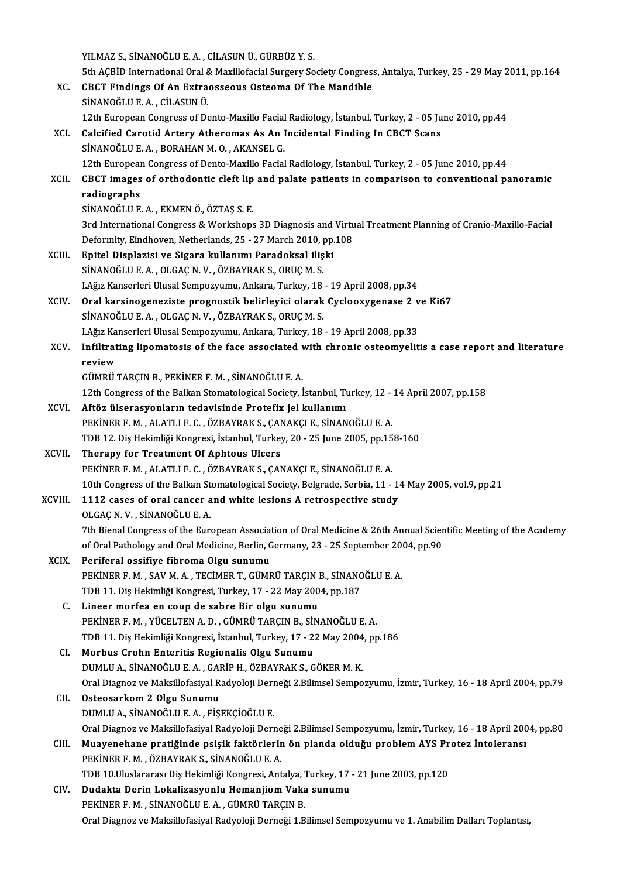YILMAZ S.,SİNANOĞLUE.A. ,CİLASUNÜ.,GÜRBÜZ Y.S.

YILMAZ S., SİNANOĞLU E. A. , CİLASUN Ü., GÜRBÜZ Y. S.<br>5th AÇBİD International Oral & Maxillofacial Surgery Society Congress, Antalya, Turkey, 25 - 29 May 2011, pp.164<br>CRCT Eindings Of An Eutroosseeus Osteoma Of The Mandibl YILMAZ S., SİNANOĞLU E. A. , CİLASUN Ü., GÜRBÜZ Y. S.<br>5th AÇBİD International Oral & Maxillofacial Surgery Society Congres:<br>XC. CBCT Findings Of An Extraosseous Osteoma Of The Mandible<br>5NANOĞLU E. A. CİLASUN Ü. 5th AÇBİD International Oral &<br>CBCT Findings Of An Extra<br>SİNANOĞLU E.A., CİLASUN Ü.<br>12th European Congrees of De CBCT Findings Of An Extraosseous Osteoma Of The Mandible<br>SINANOĞLU E. A. , CİLASUN Ü.<br>12th European Congress of Dento-Maxillo Facial Radiology, İstanbul, Turkey, 2 - 05 June 2010, pp.44<br>Calsified Caretid Artery Atheremas A SİNANOĞLU E. A. , CİLASUN Ü.<br>12th European Congress of Dento-Maxillo Facial Radiology, İstanbul, Turkey, 2 - 05 Ju<br>XCI. Calcified Carotid Artery Atheromas As An Incidental Finding In CBCT Scans<br>SİNANOĞLU E. A. , BORAHA 12th European Congress of Dento-Maxillo Facial<br>Calcified Carotid Artery Atheromas As An I<br>SİNANOĞLU E. A. , BORAHAN M. O. , AKANSEL G.<br>12th European Congress of Danto Maxillo Facial Calcified Carotid Artery Atheromas As An Incidental Finding In CBCT Scans<br>SİNANOĞLU E.A. , BORAHAN M. O. , AKANSEL G.<br>12th European Congress of Dento-Maxillo Facial Radiology, İstanbul, Turkey, 2 - 05 June 2010, pp.44<br>CBCT SİNANOĞLU E. A. , BORAHAN M. O. , AKANSEL G.<br>12th European Congress of Dento-Maxillo Facial Radiology, İstanbul, Turkey, 2 - 05 June 2010, pp.44<br>XCII. CBCT images of orthodontic cleft lip and palate patients in compari 12th Europear<br>CBCT images<br>radiographs<br>siNANOČLUE CBCT images of orthodontic cleft lip<br>radiographs<br>SİNANOĞLU E.A., EKMEN Ö., ÖZTAŞ S.E.<br><sup>2nd</sup> International Congress & Werksbons radiographs<br>SİNANOĞLU E. A. , EKMEN Ö., ÖZTAŞ S. E.<br>3rd International Congress & Workshops 3D Diagnosis and Virtual Treatment Planning of Cranio-Maxillo-Facial<br>Defermity Findheven, Netherlands, 25,, 27 Marsh 2010, np.109 SİNANOĞLU E. A. , EKMEN Ö., ÖZTAŞ S. E.<br>3rd International Congress & Workshops 3D Diagnosis and Virtu<br>Deformity, Eindhoven, Netherlands, 25 - 27 March 2010, pp.108<br>Enitel Diaplerisi ve Sisare kullanımı Paradeksel ilişki 3rd International Congress & Workshops 3D Diagnosis and<br>Deformity, Eindhoven, Netherlands, 25 - 27 March 2010, pp.<br>XCIII. Epitel Displazisi ve Sigara kullanımı Paradoksal ilişki<br>SUNANOČLUE A. OLGAGN V. ÖZRAVRAK S. OPUCM S. Deformity, Eindhoven, Netherlands, 25 - 27 March 2010, <sub>I</sub><br>Epitel Displazisi ve Sigara kullanımı Paradoksal iliş<br>SİNANOĞLU E. A. , OLGAÇ N. V. , ÖZBAYRAK S., ORUÇ M. S.<br>LAğız Kansarlari Ulusal Samnazınımı, Ankara Turkay, 1 Epitel Displazisi ve Sigara kullanımı Paradoksal ilişki<br>SİNANOĞLU E. A. , OLGAÇ N. V. , ÖZBAYRAK S., ORUÇ M. S.<br>LAğız Kanserleri Ulusal Sempozyumu, Ankara, Turkey, 18 - 19 April 2008, pp.34<br>Oral karainaganagista pragnastik SİNANOĞLU E. A. , OLGAÇ N. V. , ÖZBAYRAK S., ORUÇ M. S.<br>I.Ağız Kanserleri Ulusal Sempozyumu, Ankara, Turkey, 18 - 19 April 2008, pp.34<br>XCIV. Oral karsinogeneziste prognostik belirleyici olarak Cyclooxygenase 2 ve Ki67<br> I.Ağız Kanserleri Ulusal Sempozyumu, Ankara, Turkey, 18<br>Oral karsinogeneziste prognostik belirleyici olarak<br>SİNANOĞLU E. A. , OLGAÇ N. V. , ÖZBAYRAK S., ORUÇ M. S.<br>LAğız Kanserleri Ulusal Sempozzumu, Ankara Turkey, 18 Oral karsinogeneziste prognostik belirleyici olarak Cyclooxygenase 2 v<br>SİNANOĞLU E.A. , OLGAÇ N. V. , ÖZBAYRAK S., ORUÇ M. S.<br>LAğız Kanserleri Ulusal Sempozyumu, Ankara, Turkey, 18 - 19 April 2008, pp.33<br>Infiltrating linem SİNANOĞLU E. A. , OLGAÇ N. V. , ÖZBAYRAK S., ORUÇ M. S.<br>I.Ağız Kanserleri Ulusal Sempozyumu, Ankara, Turkey, 18 - 19 April 2008, pp.33<br>XCV. Infiltrating lipomatosis of the face associated with chronic osteomyelitis a c l.Ağız Ka<br><mark>Infiltrat</mark><br>review<br>cüмрü Infiltrating lipomatosis of the face associated v<br>review<br>GÜMRÜ TARÇIN B., PEKİNER F. M. , SİNANOĞLU E. A.<br>12th Congress of the Palkan Stamatalogical Society İ review<br>GÜMRÜ TARÇIN B., PEKİNER F. M. , SİNANOĞLU E. A.<br>12th Congress of the Balkan Stomatological Society, İstanbul, Turkey, 12 - 14 April 2007, pp.158<br>Aftör ülserneyenlerin tedevisinde Pretefix iel kullenimi GÜMRÜ TARÇIN B., PEKİNER F. M. , SİNANOĞLU E. A.<br>12th Congress of the Balkan Stomatological Society, İstanbul, Turkey, 12 - :<br>XCVI. Aftöz ülserasyonların tedavisinde Protefix jel kullanımı<br>PEKİNER F. M. , ALATLI F. C. , ÖZ 12th Congress of the Balkan Stomatological Society, İstanbul, Turkey, 12 -<br>Aftöz ülserasyonların tedavisinde Protefix jel kullanımı<br>PEKİNER F. M. , ALATLI F. C. , ÖZBAYRAK S., ÇANAKÇI E., SİNANOĞLU E. A.<br>TDP 12. Dis Hekiml Aftöz ülserasyonların tedavisinde Protefix jel kullanımı<br>PEKİNER F. M. , ALATLI F. C. , ÖZBAYRAK S., ÇANAKÇI E., SİNANOĞLU E. A.<br>TDB 12. Diş Hekimliği Kongresi, İstanbul, Turkey, 20 - 25 June 2005, pp.158-160<br>Therany for T PEKİNER F. M., ALATLI F. C., ÖZBAYRAK S., ÇAN<br>TDB 12. Diş Hekimliği Kongresi, İstanbul, Turkey<br>XCVII. Therapy for Treatment Of Aphtous Ulcers<br>REKINER E. M., ALATLI E.G., ÖZBAYRAK S. GAN TDB 12. Diş Hekimliği Kongresi, İstanbul, Turkey, 20 - 25 June 2005, pp.15<br>Therapy for Treatment Of Aphtous Ulcers<br>PEKİNER F. M. , ALATLI F. C. , ÖZBAYRAK S., ÇANAKÇI E., SİNANOĞLU E. A.<br>10th Congress of the Bellian Sterra Therapy for Treatment Of Aphtous Ulcers<br>PEKİNER F. M. , ALATLI F. C. , ÖZBAYRAK S., ÇANAKÇI E., SİNANOĞLU E. A.<br>10th Congress of the Balkan Stomatological Society, Belgrade, Serbia, 11 - 14 May 2005, vol.9, pp.21<br>1112.gase PEKİNER F. M., ALATLI F. C., ÖZBAYRAK S., ÇANAKÇI E., SİNANOĞLU E. A.<br>10th Congress of the Balkan Stomatological Society, Belgrade, Serbia, 11 - 1<br>XCVIII. 1112 cases of oral cancer and white lesions A retrospective study<br>O 10th Congress of the Balkan St<br>1112 cases of oral cancer a<br>OLGAÇ N. V., SİNANOĞLU E. A.<br><sup>7th Bional Congress of the Euro</sup> 1112 cases of oral cancer and white lesions A retrospective study<br>OLGAÇ N. V. , SİNANOĞLU E. A.<br>7th Bienal Congress of the European Association of Oral Medicine & 26th Annual Scientific Meeting of the Academy<br>of Oral Batho OLGAÇ N. V. , SİNANOĞLU E. A.<br>7th Bienal Congress of the European Association of Oral Medicine & 26th Annual Scien<br>of Oral Pathology and Oral Medicine, Berlin, Germany, 23 - 25 September 2004, pp.90<br>Periforal ossifive fibr 7th Bienal Congress of the European Association<br>of Oral Pathology and Oral Medicine, Berlin, C<br>XCIX. Periferal ossifiye fibroma Olgu sunumu of Oral Pathology and Oral Medicine, Berlin, Germany, 23 - 25 September 200<br>Periferal ossifiye fibroma Olgu sunumu<br>PEKİNER F. M. , SAV M. A. , TECİMER T., GÜMRÜ TARÇIN B., SİNANOĞLU E. A.<br>TDP 11, Dis Helimliği Kengresi Tur Periferal ossifiye fibroma Olgu sunumu<br>PEKİNER F. M. , SAV M. A. , TECİMER T., GÜMRÜ TARÇIN B., SİNANC<br>TDB 11. Diş Hekimliği Kongresi, Turkey, 17 - 22 May 2004, pp.187<br>Lineer merfee en seun de sebre Bir elsu sunumu PEKİNER F. M., SAV M. A., TECİMER T., GÜMRÜ TARÇIN I<br>TDB 11. Diş Hekimliği Kongresi, Turkey, 17 - 22 May 200<br>C. Lineer morfea en coup de sabre Bir olgu sunumu<br>PEKİNER E. M., VÜCELTEN A. D., GÜMRÜ TARÇIN B. SİN TDB 11. Diş Hekimliği Kongresi, Turkey, 17 - 22 May 2004, pp.187<br>Lineer morfea en coup de sabre Bir olgu sunumu<br>PEKİNER F. M. , YÜCELTEN A. D. , GÜMRÜ TARÇIN B., SİNANOĞLU E. A.<br>TDB 11. Diş Hekimliği Kongresi, İstanbul Tur Lineer morfea en coup de sabre Bir olgu sunumu<br>PEKİNER F. M. , YÜCELTEN A. D. , GÜMRÜ TARÇIN B., SİNANOĞLU E. A.<br>TDB 11. Diş Hekimliği Kongresi, İstanbul, Turkey, 17 - 22 May 2004, pp.186<br>Marbus Crahn Entaritis Bagianalis PEKİNER F. M., YÜCELTEN A. D., GÜMRÜ TARÇIN B., SİI<br>TDB 11. Diş Hekimliği Kongresi, İstanbul, Turkey, 17 - 2:<br>CI. Morbus Crohn Enteritis Regionalis Olgu Sunumu<br>DIMLUA SİNANOĞLUE A. GARİR H. ÖZRAYRAK S. G TDB 11. Diş Hekimliği Kongresi, İstanbul, Turkey, 17 - 22 May 2004, pp.186<br>CI. Morbus Crohn Enteritis Regionalis Olgu Sunumu<br>DUMLU A., SİNANOĞLU E. A. , GARİP H., ÖZBAYRAK S., GÖKER M. K. Morbus Crohn Enteritis Regionalis Olgu Sunumu<br>DUMLU A., SİNANOĞLU E. A. , GARİP H., ÖZBAYRAK S., GÖKER M. K.<br>Oral Diagnoz ve Maksillofasiyal Radyoloji Derneği 2.Bilimsel Sempozyumu, İzmir, Turkey, 16 - 18 April 2004, pp.79 CII. Osteosarkom 2 Olgu Sunumu<br>DUMLU A., SİNANOĞLU E. A., FİSEKÇİOĞLU E. Oral Diagnoz ve Maksillofasiyal Radyoloji Deri<br>Osteosarkom 2 Olgu Sunumu<br>DUMLU A., SİNANOĞLU E. A. , FİŞEKÇİOĞLU E.<br>Oral Diagnoz ve Maksillofasiyal Badyoloji Derr Oral Diagnoz ve Maksillofasiyal Radyoloji Derneği 2.Bilimsel Sempozyumu, İzmir, Turkey, 16 - 18 April 2004, pp.80 CIII. Muayenehane pratiğinde psişik faktörlerin ön planda olduğu problem AYS Protez İntoleransı PEKİNER F. M., ÖZBAYRAK S., SİNANOĞLU E. A. Muayenehane pratiğinde psişik faktörlerin ön planda olduğu problem AYS Pr<br>PEKİNER F. M. , ÖZBAYRAK S., SİNANOĞLU E. A.<br>TDB 10.Uluslararası Diş Hekimliği Kongresi, Antalya, Turkey, 17 - 21 June 2003, pp.120<br>Pudakta Derin La PEKİNER F. M. , ÖZBAYRAK S., SİNANOĞLU E. A.<br>TDB 10.Uluslararası Diş Hekimliği Kongresi, Antalya, Turkey, 17<br>CIV. Dudakta Derin Lokalizasyonlu Hemanjiom Vaka sunumu<br>PEKİNER E. M. SİNANOĞLU E. A. GÜMRÜ TARGIN B TDB 10.Uluslararası Diş Hekimliği Kongresi, Antalya, 7<br>Dudakta Derin Lokalizasyonlu Hemanjiom Vaka<br>PEKİNER F. M. , SİNANOĞLU E. A. , GÜMRÜ TARÇIN B.<br>Oral Diagrag ve Makaillafasiyal Badyalaji Dernaği 1 B Dudakta Derin Lokalizasyonlu Hemanjiom Vaka sunumu<br>PEKİNER F. M. , SİNANOĞLU E. A. , GÜMRÜ TARÇIN B.<br>Oral Diagnoz ve Maksillofasiyal Radyoloji Derneği 1.Bilimsel Sempozyumu ve 1. Anabilim Dalları Toplantısı,